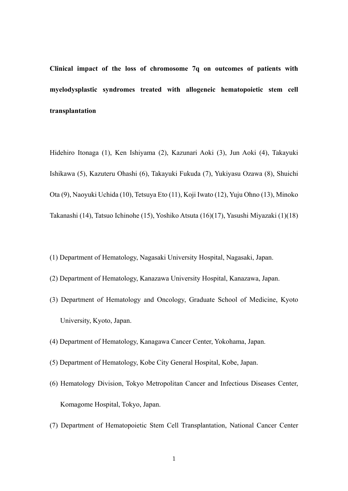**Clinical impact of the loss of chromosome 7q on outcomes of patients with myelodysplastic syndromes treated with allogeneic hematopoietic stem cell transplantation** 

Hidehiro Itonaga (1), Ken Ishiyama (2), Kazunari Aoki (3), Jun Aoki (4), Takayuki Ishikawa (5), Kazuteru Ohashi (6), Takayuki Fukuda (7), Yukiyasu Ozawa (8), Shuichi Ota (9), Naoyuki Uchida (10), Tetsuya Eto (11), Koji Iwato (12), Yuju Ohno (13), Minoko Takanashi (14), Tatsuo Ichinohe (15), Yoshiko Atsuta (16)(17), Yasushi Miyazaki (1)(18)

- (1) Department of Hematology, Nagasaki University Hospital, Nagasaki, Japan.
- (2) Department of Hematology, Kanazawa University Hospital, Kanazawa, Japan.
- (3) Department of Hematology and Oncology, Graduate School of Medicine, Kyoto University, Kyoto, Japan.
- (4) Department of Hematology, Kanagawa Cancer Center, Yokohama, Japan.
- (5) Department of Hematology, Kobe City General Hospital, Kobe, Japan.
- (6) Hematology Division, Tokyo Metropolitan Cancer and Infectious Diseases Center, Komagome Hospital, Tokyo, Japan.
- (7) Department of Hematopoietic Stem Cell Transplantation, National Cancer Center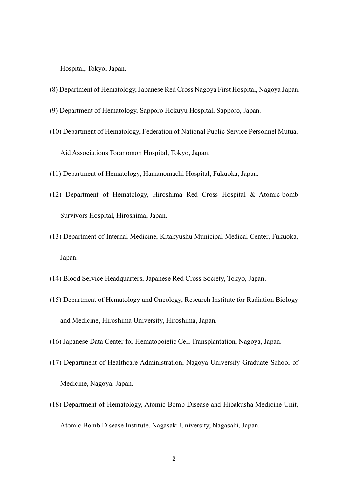Hospital, Tokyo, Japan.

- (8) Department of Hematology, Japanese Red Cross Nagoya First Hospital, Nagoya Japan.
- (9) Department of Hematology, Sapporo Hokuyu Hospital, Sapporo, Japan.
- (10) Department of Hematology, Federation of National Public Service Personnel Mutual Aid Associations Toranomon Hospital, Tokyo, Japan.
- (11) Department of Hematology, Hamanomachi Hospital, Fukuoka, Japan.
- (12) Department of Hematology, Hiroshima Red Cross Hospital & Atomic-bomb Survivors Hospital, Hiroshima, Japan.
- (13) Department of Internal Medicine, Kitakyushu Municipal Medical Center, Fukuoka, Japan.
- (14) Blood Service Headquarters, Japanese Red Cross Society, Tokyo, Japan.
- (15) Department of Hematology and Oncology, Research Institute for Radiation Biology and Medicine, Hiroshima University, Hiroshima, Japan.
- (16) Japanese Data Center for Hematopoietic Cell Transplantation, Nagoya, Japan.
- (17) Department of Healthcare Administration, Nagoya University Graduate School of Medicine, Nagoya, Japan.
- (18) Department of Hematology, Atomic Bomb Disease and Hibakusha Medicine Unit, Atomic Bomb Disease Institute, Nagasaki University, Nagasaki, Japan.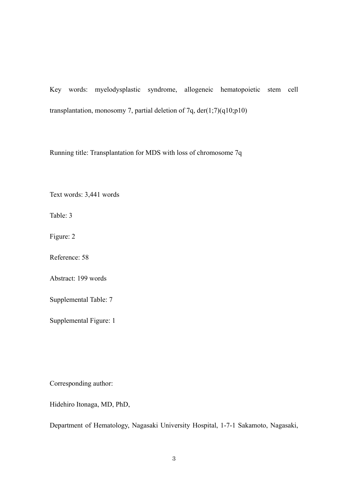Key words: myelodysplastic syndrome, allogeneic hematopoietic stem cell transplantation, monosomy 7, partial deletion of 7q, der(1;7)(q10;p10)

Running title: Transplantation for MDS with loss of chromosome 7q

Text words: 3,441 words

Table: 3

Figure: 2

Reference: 58

Abstract: 199 words

Supplemental Table: 7

Supplemental Figure: 1

Corresponding author:

Hidehiro Itonaga, MD, PhD,

Department of Hematology, Nagasaki University Hospital, 1-7-1 Sakamoto, Nagasaki,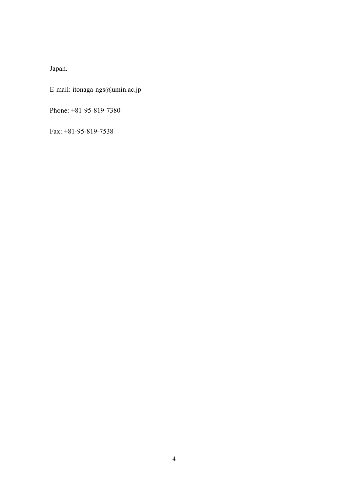Japan.

E-mail: itonaga-ngs@umin.ac.jp

Phone: +81-95-819-7380

Fax: +81-95-819-7538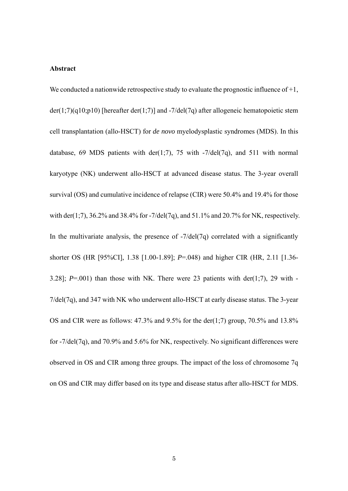### **Abstract**

We conducted a nationwide retrospective study to evaluate the prognostic influence of  $+1$ , der(1;7)(q10;p10) [hereafter der(1;7)] and -7/del(7q) after allogeneic hematopoietic stem cell transplantation (allo-HSCT) for *de novo* myelodysplastic syndromes (MDS). In this database, 69 MDS patients with der(1;7), 75 with  $-7$ /del(7q), and 511 with normal karyotype (NK) underwent allo-HSCT at advanced disease status. The 3-year overall survival (OS) and cumulative incidence of relapse (CIR) were 50.4% and 19.4% for those with der(1;7),  $36.2\%$  and  $38.4\%$  for -7/del(7q), and  $51.1\%$  and  $20.7\%$  for NK, respectively. In the multivariate analysis, the presence of  $-7$ /del(7q) correlated with a significantly shorter OS (HR [95%CI], 1.38 [1.00-1.89]; *P*=.048) and higher CIR (HR, 2.11 [1.36- 3.28];  $P=.001$ ) than those with NK. There were 23 patients with der(1;7), 29 with -7/del(7q), and 347 with NK who underwent allo-HSCT at early disease status. The 3-year OS and CIR were as follows:  $47.3\%$  and  $9.5\%$  for the der(1;7) group,  $70.5\%$  and  $13.8\%$ for -7/del(7q), and 70.9% and 5.6% for NK, respectively. No significant differences were observed in OS and CIR among three groups. The impact of the loss of chromosome 7q on OS and CIR may differ based on its type and disease status after allo-HSCT for MDS.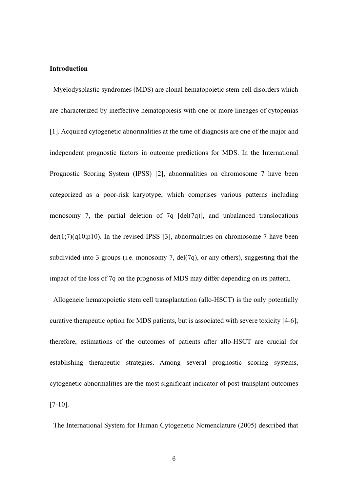## **Introduction**

 Myelodysplastic syndromes (MDS) are clonal hematopoietic stem-cell disorders which are characterized by ineffective hematopoiesis with one or more lineages of cytopenias [1]. Acquired cytogenetic abnormalities at the time of diagnosis are one of the major and independent prognostic factors in outcome predictions for MDS. In the International Prognostic Scoring System (IPSS) [2], abnormalities on chromosome 7 have been categorized as a poor-risk karyotype, which comprises various patterns including monosomy 7, the partial deletion of 7q  $[del(7q)]$ , and unbalanced translocations  $der(1;7)(q10;p10)$ . In the revised IPSS [3], abnormalities on chromosome 7 have been subdivided into 3 groups (i.e. monosomy 7, del $(7q)$ , or any others), suggesting that the impact of the loss of 7q on the prognosis of MDS may differ depending on its pattern.

 Allogeneic hematopoietic stem cell transplantation (allo-HSCT) is the only potentially curative therapeutic option for MDS patients, but is associated with severe toxicity [4-6]; therefore, estimations of the outcomes of patients after allo-HSCT are crucial for establishing therapeutic strategies. Among several prognostic scoring systems, cytogenetic abnormalities are the most significant indicator of post-transplant outcomes [7-10].

The International System for Human Cytogenetic Nomenclature (2005) described that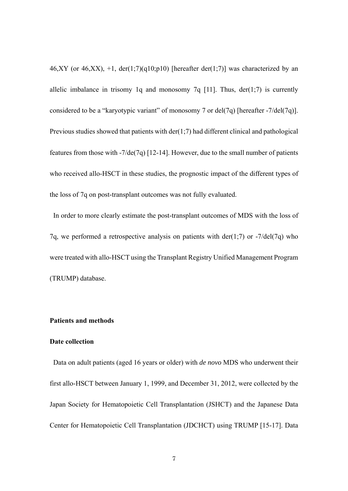46,XY (or 46,XX),  $+1$ , der(1;7)(q10;p10) [hereafter der(1;7)] was characterized by an allelic imbalance in trisomy 1q and monosomy 7q [11]. Thus,  $der(1,7)$  is currently considered to be a "karyotypic variant" of monosomy 7 or del(7q) [hereafter -7/del(7q)]. Previous studies showed that patients with der(1;7) had different clinical and pathological features from those with -7/de(7q) [12-14]. However, due to the small number of patients who received allo-HSCT in these studies, the prognostic impact of the different types of the loss of 7q on post-transplant outcomes was not fully evaluated.

In order to more clearly estimate the post-transplant outcomes of MDS with the loss of 7q, we performed a retrospective analysis on patients with der(1;7) or  $-7/\text{del}(7q)$  who were treated with allo-HSCT using the Transplant Registry Unified Management Program (TRUMP) database.

## **Patients and methods**

## **Date collection**

Data on adult patients (aged 16 years or older) with *de novo* MDS who underwent their first allo-HSCT between January 1, 1999, and December 31, 2012, were collected by the Japan Society for Hematopoietic Cell Transplantation (JSHCT) and the Japanese Data Center for Hematopoietic Cell Transplantation (JDCHCT) using TRUMP [15-17]. Data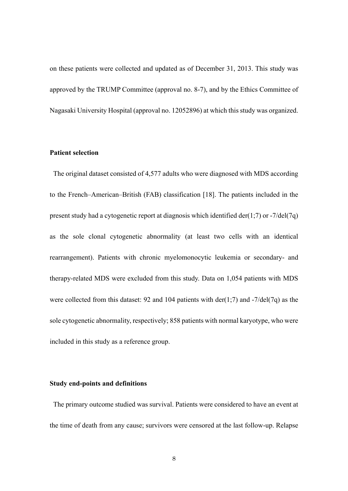on these patients were collected and updated as of December 31, 2013. This study was approved by the TRUMP Committee (approval no. 8-7), and by the Ethics Committee of Nagasaki University Hospital (approval no. 12052896) at which this study was organized.

## **Patient selection**

The original dataset consisted of 4,577 adults who were diagnosed with MDS according to the French–American–British (FAB) classification [18]. The patients included in the present study had a cytogenetic report at diagnosis which identified der(1;7) or -7/del(7q) as the sole clonal cytogenetic abnormality (at least two cells with an identical rearrangement). Patients with chronic myelomonocytic leukemia or secondary- and therapy-related MDS were excluded from this study. Data on 1,054 patients with MDS were collected from this dataset: 92 and 104 patients with der(1;7) and  $-7$ /del(7q) as the sole cytogenetic abnormality, respectively; 858 patients with normal karyotype, who were included in this study as a reference group.

#### **Study end-points and definitions**

 The primary outcome studied was survival. Patients were considered to have an event at the time of death from any cause; survivors were censored at the last follow-up. Relapse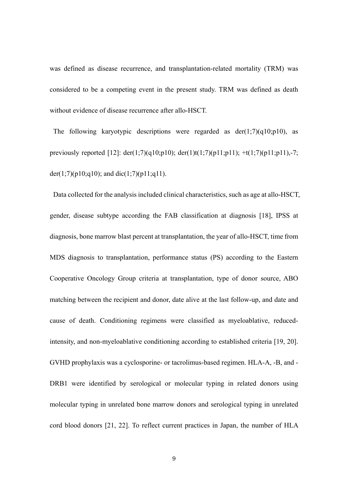was defined as disease recurrence, and transplantation-related mortality (TRM) was considered to be a competing event in the present study. TRM was defined as death without evidence of disease recurrence after allo-HSCT.

The following karyotypic descriptions were regarded as  $der(1;7)(q10;p10)$ , as previously reported [12]:  $der(1;7)(q10;p10)$ ;  $der(1)t(1;7)(p11;p11)$ ;  $+t(1;7)(p11;p11)$ ,-7; der(1;7)(p10;q10); and dic(1;7)(p11;q11).

Data collected for the analysis included clinical characteristics, such as age at allo-HSCT, gender, disease subtype according the FAB classification at diagnosis [18], IPSS at diagnosis, bone marrow blast percent at transplantation, the year of allo-HSCT, time from MDS diagnosis to transplantation, performance status (PS) according to the Eastern Cooperative Oncology Group criteria at transplantation, type of donor source, ABO matching between the recipient and donor, date alive at the last follow-up, and date and cause of death. Conditioning regimens were classified as myeloablative, reducedintensity, and non-myeloablative conditioning according to established criteria [19, 20]. GVHD prophylaxis was a cyclosporine- or tacrolimus-based regimen. HLA-A, -B, and - DRB1 were identified by serological or molecular typing in related donors using molecular typing in unrelated bone marrow donors and serological typing in unrelated cord blood donors [21, 22]. To reflect current practices in Japan, the number of HLA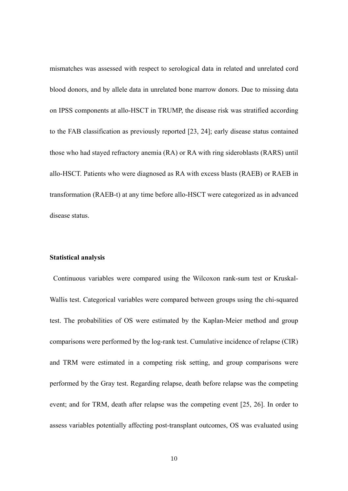mismatches was assessed with respect to serological data in related and unrelated cord blood donors, and by allele data in unrelated bone marrow donors. Due to missing data on IPSS components at allo-HSCT in TRUMP, the disease risk was stratified according to the FAB classification as previously reported [23, 24]; early disease status contained those who had stayed refractory anemia (RA) or RA with ring sideroblasts (RARS) until allo-HSCT. Patients who were diagnosed as RA with excess blasts (RAEB) or RAEB in transformation (RAEB-t) at any time before allo-HSCT were categorized as in advanced disease status.

#### **Statistical analysis**

Continuous variables were compared using the Wilcoxon rank-sum test or Kruskal-Wallis test. Categorical variables were compared between groups using the chi-squared test. The probabilities of OS were estimated by the Kaplan-Meier method and group comparisons were performed by the log-rank test. Cumulative incidence of relapse (CIR) and TRM were estimated in a competing risk setting, and group comparisons were performed by the Gray test. Regarding relapse, death before relapse was the competing event; and for TRM, death after relapse was the competing event [25, 26]. In order to assess variables potentially affecting post-transplant outcomes, OS was evaluated using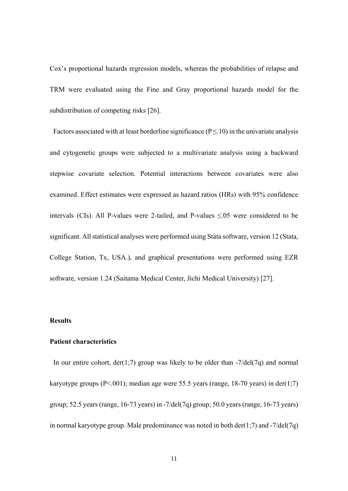Cox's proportional hazards regression models, whereas the probabilities of relapse and TRM were evaluated using the Fine and Gray proportional hazards model for the subdistribution of competing risks [26].

Factors associated with at least borderline significance ( $P \le 10$ ) in the univariate analysis and cytogenetic groups were subjected to a multivariate analysis using a backward stepwise covariate selection. Potential interactions between covariates were also examined. Effect estimates were expressed as hazard ratios (HRs) with 95% confidence intervals (CIs). All P-values were 2-tailed, and P-values ≤.05 were considered to be significant. All statistical analyses were performed using Stata software, version 12 (Stata, College Station, Tx, USA.), and graphical presentations were performed using EZR software, version 1.24 (Saitama Medical Center, Jichi Medical University) [27].

## **Results**

## **Patient characteristics**

In our entire cohort,  $der(1,7)$  group was likely to be older than  $-7/del(7q)$  and normal karyotype groups (P<.001); median age were 55.5 years (range, 18-70 years) in der(1;7) group; 52.5 years (range, 16-73 years) in -7/del(7q) group; 50.0 years (range, 16-73 years) in normal karyotype group. Male predominance was noted in both der(1;7) and  $-7/\text{del}(7q)$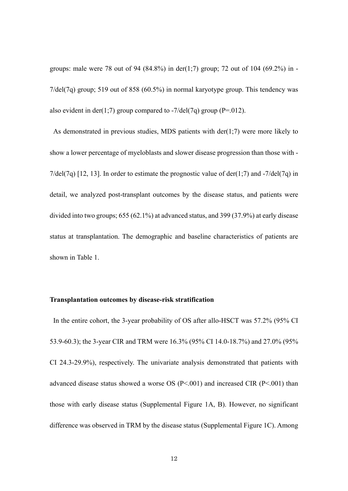groups: male were 78 out of 94 (84.8%) in der(1;7) group; 72 out of 104 (69.2%) in -7/del(7q) group; 519 out of 858 (60.5%) in normal karyotype group. This tendency was also evident in der(1;7) group compared to  $-7$ /del(7q) group (P=.012).

As demonstrated in previous studies, MDS patients with  $der(1,7)$  were more likely to show a lower percentage of myeloblasts and slower disease progression than those with - 7/del(7q) [12, 13]. In order to estimate the prognostic value of der(1;7) and  $-7$ /del(7q) in detail, we analyzed post-transplant outcomes by the disease status, and patients were divided into two groups; 655 (62.1%) at advanced status, and 399 (37.9%) at early disease status at transplantation. The demographic and baseline characteristics of patients are shown in Table 1.

#### **Transplantation outcomes by disease-risk stratification**

In the entire cohort, the 3-year probability of OS after allo-HSCT was 57.2% (95% CI 53.9-60.3); the 3-year CIR and TRM were 16.3% (95% CI 14.0-18.7%) and 27.0% (95% CI 24.3-29.9%), respectively. The univariate analysis demonstrated that patients with advanced disease status showed a worse OS (P<.001) and increased CIR (P<.001) than those with early disease status (Supplemental Figure 1A, B). However, no significant difference was observed in TRM by the disease status (Supplemental Figure 1C). Among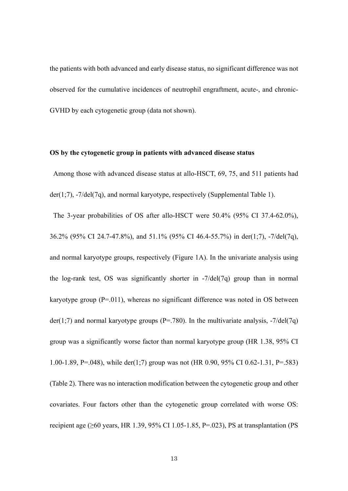the patients with both advanced and early disease status, no significant difference was not observed for the cumulative incidences of neutrophil engraftment, acute-, and chronic-GVHD by each cytogenetic group (data not shown).

### **OS by the cytogenetic group in patients with advanced disease status**

 Among those with advanced disease status at allo-HSCT, 69, 75, and 511 patients had der(1;7), -7/del(7q), and normal karyotype, respectively (Supplemental Table 1).

 The 3-year probabilities of OS after allo-HSCT were 50.4% (95% CI 37.4-62.0%), 36.2% (95% CI 24.7-47.8%), and 51.1% (95% CI 46.4-55.7%) in der(1;7), -7/del(7q), and normal karyotype groups, respectively (Figure 1A). In the univariate analysis using the log-rank test, OS was significantly shorter in -7/del(7q) group than in normal karyotype group  $(P=011)$ , whereas no significant difference was noted in OS between  $der(1;7)$  and normal karyotype groups (P=.780). In the multivariate analysis,  $-7/del(7q)$ group was a significantly worse factor than normal karyotype group (HR 1.38, 95% CI 1.00-1.89, P=.048), while der(1;7) group was not (HR 0.90, 95% CI 0.62-1.31, P=.583) (Table 2). There was no interaction modification between the cytogenetic group and other covariates. Four factors other than the cytogenetic group correlated with worse OS: recipient age ( $>60$  years, HR 1.39, 95% CI 1.05-1.85, P=.023), PS at transplantation (PS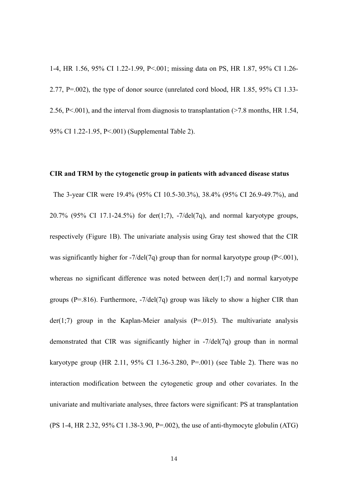1-4, HR 1.56, 95% CI 1.22-1.99, P<.001; missing data on PS, HR 1.87, 95% CI 1.26- 2.77, P=.002), the type of donor source (unrelated cord blood, HR 1.85, 95% CI 1.33- 2.56, P<.001), and the interval from diagnosis to transplantation (>7.8 months, HR 1.54, 95% CI 1.22-1.95, P<.001) (Supplemental Table 2).

### **CIR and TRM by the cytogenetic group in patients with advanced disease status**

 The 3-year CIR were 19.4% (95% CI 10.5-30.3%), 38.4% (95% CI 26.9-49.7%), and 20.7% (95% CI 17.1-24.5%) for der(1;7),  $-7/\text{del}(7q)$ , and normal karyotype groups, respectively (Figure 1B). The univariate analysis using Gray test showed that the CIR was significantly higher for  $-7$ /del(7q) group than for normal karyotype group (P<.001), whereas no significant difference was noted between  $der(1;7)$  and normal karyotype groups ( $P=.816$ ). Furthermore,  $-7/\text{del}(7q)$  group was likely to show a higher CIR than  $der(1;7)$  group in the Kaplan-Meier analysis (P=.015). The multivariate analysis demonstrated that CIR was significantly higher in -7/del(7q) group than in normal karyotype group (HR 2.11, 95% CI 1.36-3.280, P=.001) (see Table 2). There was no interaction modification between the cytogenetic group and other covariates. In the univariate and multivariate analyses, three factors were significant: PS at transplantation (PS 1-4, HR 2.32, 95% CI 1.38-3.90, P=.002), the use of anti-thymocyte globulin (ATG)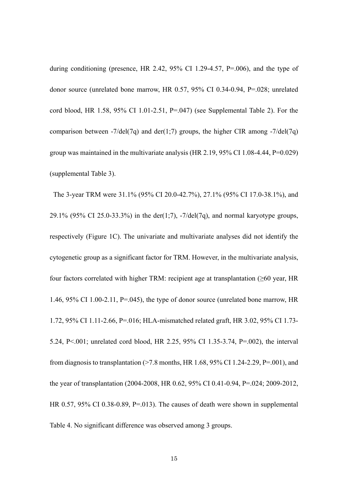during conditioning (presence, HR 2.42,  $95\%$  CI 1.29-4.57, P=.006), and the type of donor source (unrelated bone marrow, HR 0.57, 95% CI 0.34-0.94, P=.028; unrelated cord blood, HR 1.58, 95% CI 1.01-2.51, P=.047) (see Supplemental Table 2). For the comparison between  $-7/\text{del}(7q)$  and der(1;7) groups, the higher CIR among  $-7/\text{del}(7q)$ group was maintained in the multivariate analysis (HR 2.19,  $95\%$  CI 1.08-4.44, P=0.029) (supplemental Table 3).

The 3-year TRM were 31.1% (95% CI 20.0-42.7%), 27.1% (95% CI 17.0-38.1%), and 29.1% (95% CI 25.0-33.3%) in the der(1;7),  $-7/\text{del}(7q)$ , and normal karyotype groups, respectively (Figure 1C). The univariate and multivariate analyses did not identify the cytogenetic group as a significant factor for TRM. However, in the multivariate analysis, four factors correlated with higher TRM: recipient age at transplantation (≥60 year, HR 1.46, 95% CI 1.00-2.11, P=.045), the type of donor source (unrelated bone marrow, HR 1.72, 95% CI 1.11-2.66, P=.016; HLA-mismatched related graft, HR 3.02, 95% CI 1.73- 5.24, P<.001; unrelated cord blood, HR 2.25, 95% CI 1.35-3.74, P=.002), the interval from diagnosis to transplantation  $(27.8 \text{ months}, \text{HR } 1.68, 95\% \text{ CI } 1.24-2.29, \text{P} = .001)$ , and the year of transplantation (2004-2008, HR 0.62, 95% CI 0.41-0.94, P=.024; 2009-2012, HR 0.57, 95% CI 0.38-0.89, P=.013). The causes of death were shown in supplemental Table 4. No significant difference was observed among 3 groups.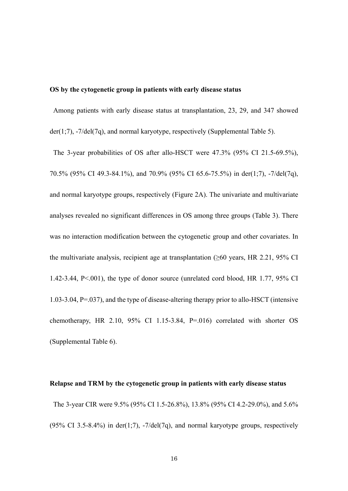## **OS by the cytogenetic group in patients with early disease status**

Among patients with early disease status at transplantation, 23, 29, and 347 showed der(1;7), -7/del(7q), and normal karyotype, respectively (Supplemental Table 5).

 The 3-year probabilities of OS after allo-HSCT were 47.3% (95% CI 21.5-69.5%), 70.5% (95% CI 49.3-84.1%), and 70.9% (95% CI 65.6-75.5%) in der(1;7), -7/del(7q), and normal karyotype groups, respectively (Figure 2A). The univariate and multivariate analyses revealed no significant differences in OS among three groups (Table 3). There was no interaction modification between the cytogenetic group and other covariates. In the multivariate analysis, recipient age at transplantation  $(\geq 60$  years, HR 2.21, 95% CI 1.42-3.44, P<.001), the type of donor source (unrelated cord blood, HR 1.77, 95% CI 1.03-3.04, P=.037), and the type of disease-altering therapy prior to allo-HSCT (intensive chemotherapy, HR 2.10, 95% CI 1.15-3.84,  $P=.016$  correlated with shorter OS (Supplemental Table 6).

#### **Relapse and TRM by the cytogenetic group in patients with early disease status**

 The 3-year CIR were 9.5% (95% CI 1.5-26.8%), 13.8% (95% CI 4.2-29.0%), and 5.6% (95% CI 3.5-8.4%) in der(1:7),  $-7$ /del(7q), and normal karyotype groups, respectively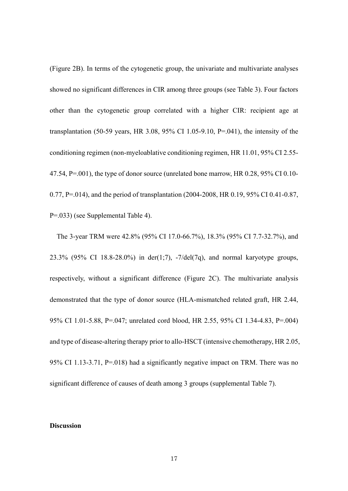(Figure 2B). In terms of the cytogenetic group, the univariate and multivariate analyses showed no significant differences in CIR among three groups (see Table 3). Four factors other than the cytogenetic group correlated with a higher CIR: recipient age at transplantation (50-59 years, HR 3.08, 95% CI 1.05-9.10, P=.041), the intensity of the conditioning regimen (non-myeloablative conditioning regimen, HR 11.01, 95% CI 2.55- 47.54, P=.001), the type of donor source (unrelated bone marrow, HR 0.28, 95% CI 0.10- 0.77, P=.014), and the period of transplantation (2004-2008, HR 0.19, 95% CI 0.41-0.87, P=.033) (see Supplemental Table 4).

 The 3-year TRM were 42.8% (95% CI 17.0-66.7%), 18.3% (95% CI 7.7-32.7%), and 23.3% (95% CI 18.8-28.0%) in der(1;7), -7/del(7q), and normal karyotype groups, respectively, without a significant difference (Figure 2C). The multivariate analysis demonstrated that the type of donor source (HLA-mismatched related graft, HR 2.44, 95% CI 1.01-5.88, P=.047; unrelated cord blood, HR 2.55, 95% CI 1.34-4.83, P=.004) and type of disease-altering therapy prior to allo-HSCT (intensive chemotherapy, HR 2.05, 95% CI 1.13-3.71, P=.018) had a significantly negative impact on TRM. There was no significant difference of causes of death among 3 groups (supplemental Table 7).

## **Discussion**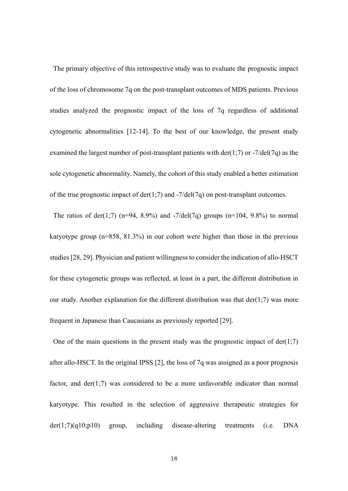The primary objective of this retrospective study was to evaluate the prognostic impact of the loss of chromosome 7q on the post-transplant outcomes of MDS patients. Previous studies analyzed the prognostic impact of the loss of 7q regardless of additional cytogenetic abnormalities [12-14]. To the best of our knowledge, the present study examined the largest number of post-transplant patients with der(1;7) or  $-7/\text{del}(7q)$  as the sole cytogenetic abnormality. Namely, the cohort of this study enabled a better estimation of the true prognostic impact of  $der(1,7)$  and  $-7/del(7q)$  on post-transplant outcomes.

The ratios of der(1;7) (n=94, 8.9%) and -7/del(7q) groups (n=104, 9.8%) to normal karyotype group (n=858, 81.3%) in our cohort were higher than those in the previous studies [28, 29]. Physician and patient willingness to consider the indication of allo-HSCT for these cytogenetic groups was reflected, at least in a part, the different distribution in our study. Another explanation for the different distribution was that der(1:7) was more frequent in Japanese than Caucasians as previously reported [29].

One of the main questions in the present study was the prognostic impact of  $der(1;7)$ after allo-HSCT. In the original IPSS [2], the loss of 7q was assigned as a poor prognosis factor, and  $der(1;7)$  was considered to be a more unfavorable indicator than normal karyotype. This resulted in the selection of aggressive therapeutic strategies for der(1;7)(q10;p10) group, including disease-altering treatments (i.e. DNA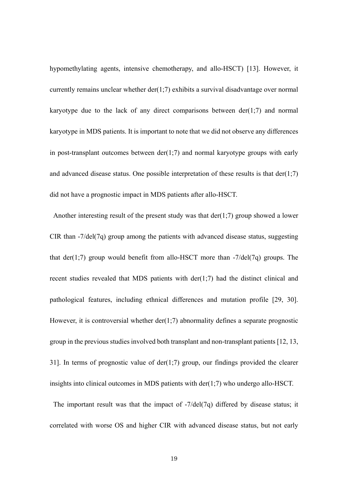hypomethylating agents, intensive chemotherapy, and allo-HSCT) [13]. However, it currently remains unclear whether  $der(1,7)$  exhibits a survival disadvantage over normal karyotype due to the lack of any direct comparisons between  $der(1;7)$  and normal karyotype in MDS patients. It is important to note that we did not observe any differences in post-transplant outcomes between  $der(1;7)$  and normal karyotype groups with early and advanced disease status. One possible interpretation of these results is that  $der(1;7)$ did not have a prognostic impact in MDS patients after allo-HSCT.

Another interesting result of the present study was that  $der(1,7)$  group showed a lower CIR than -7/del(7q) group among the patients with advanced disease status, suggesting that der(1;7) group would benefit from allo-HSCT more than  $-7$ /del(7q) groups. The recent studies revealed that MDS patients with der(1;7) had the distinct clinical and pathological features, including ethnical differences and mutation profile [29, 30]. However, it is controversial whether  $der(1,7)$  abnormality defines a separate prognostic group in the previous studies involved both transplant and non-transplant patients [12, 13, 31]. In terms of prognostic value of  $der(1,7)$  group, our findings provided the clearer insights into clinical outcomes in MDS patients with der(1;7) who undergo allo-HSCT.

The important result was that the impact of -7/del(7q) differed by disease status; it correlated with worse OS and higher CIR with advanced disease status, but not early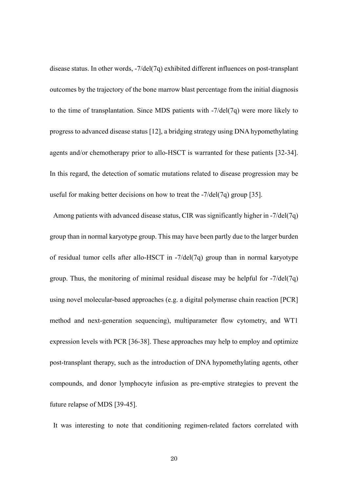disease status. In other words, -7/del(7q) exhibited different influences on post-transplant outcomes by the trajectory of the bone marrow blast percentage from the initial diagnosis to the time of transplantation. Since MDS patients with -7/del(7q) were more likely to progress to advanced disease status [12], a bridging strategy using DNA hypomethylating agents and/or chemotherapy prior to allo-HSCT is warranted for these patients [32-34]. In this regard, the detection of somatic mutations related to disease progression may be useful for making better decisions on how to treat the -7/del(7q) group [35].

 Among patients with advanced disease status, CIR was significantly higher in -7/del(7q) group than in normal karyotype group. This may have been partly due to the larger burden of residual tumor cells after allo-HSCT in -7/del(7q) group than in normal karyotype group. Thus, the monitoring of minimal residual disease may be helpful for -7/del(7q) using novel molecular-based approaches (e.g. a digital polymerase chain reaction [PCR] method and next-generation sequencing), multiparameter flow cytometry, and WT1 expression levels with PCR [36-38]. These approaches may help to employ and optimize post-transplant therapy, such as the introduction of DNA hypomethylating agents, other compounds, and donor lymphocyte infusion as pre-emptive strategies to prevent the future relapse of MDS [39-45].

It was interesting to note that conditioning regimen-related factors correlated with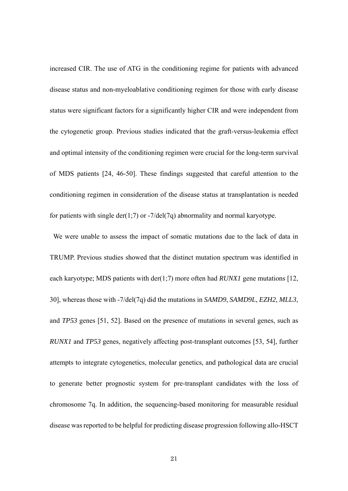increased CIR. The use of ATG in the conditioning regime for patients with advanced disease status and non-myeloablative conditioning regimen for those with early disease status were significant factors for a significantly higher CIR and were independent from the cytogenetic group. Previous studies indicated that the graft-versus-leukemia effect and optimal intensity of the conditioning regimen were crucial for the long-term survival of MDS patients [24, 46-50]. These findings suggested that careful attention to the conditioning regimen in consideration of the disease status at transplantation is needed for patients with single der(1;7) or  $-7$ /del(7q) abnormality and normal karyotype.

We were unable to assess the impact of somatic mutations due to the lack of data in TRUMP. Previous studies showed that the distinct mutation spectrum was identified in each karyotype; MDS patients with der(1;7) more often had *RUNX1* gene mutations [12, 30], whereas those with -7/del(7q) did the mutations in *SAMD9*, *SAMD9L*, *EZH2*, *MLL3*, and *TP53* genes [51, 52]. Based on the presence of mutations in several genes, such as *RUNX1* and *TP53* genes, negatively affecting post-transplant outcomes [53, 54], further attempts to integrate cytogenetics, molecular genetics, and pathological data are crucial to generate better prognostic system for pre-transplant candidates with the loss of chromosome 7q. In addition, the sequencing-based monitoring for measurable residual disease was reported to be helpful for predicting disease progression following allo-HSCT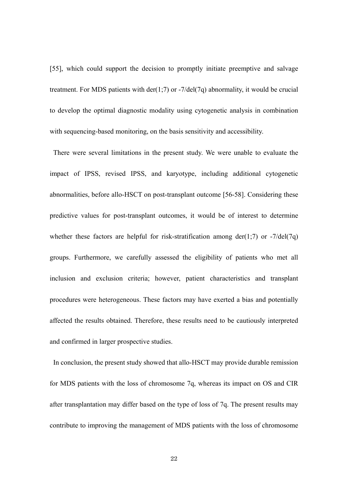[55], which could support the decision to promptly initiate preemptive and salvage treatment. For MDS patients with  $der(1,7)$  or  $-7/del(7q)$  abnormality, it would be crucial to develop the optimal diagnostic modality using cytogenetic analysis in combination with sequencing-based monitoring, on the basis sensitivity and accessibility.

There were several limitations in the present study. We were unable to evaluate the impact of IPSS, revised IPSS, and karyotype, including additional cytogenetic abnormalities, before allo-HSCT on post-transplant outcome [56-58]. Considering these predictive values for post-transplant outcomes, it would be of interest to determine whether these factors are helpful for risk-stratification among der(1;7) or  $-7/\text{del}(7q)$ groups. Furthermore, we carefully assessed the eligibility of patients who met all inclusion and exclusion criteria; however, patient characteristics and transplant procedures were heterogeneous. These factors may have exerted a bias and potentially affected the results obtained. Therefore, these results need to be cautiously interpreted and confirmed in larger prospective studies.

 In conclusion, the present study showed that allo-HSCT may provide durable remission for MDS patients with the loss of chromosome 7q, whereas its impact on OS and CIR after transplantation may differ based on the type of loss of 7q. The present results may contribute to improving the management of MDS patients with the loss of chromosome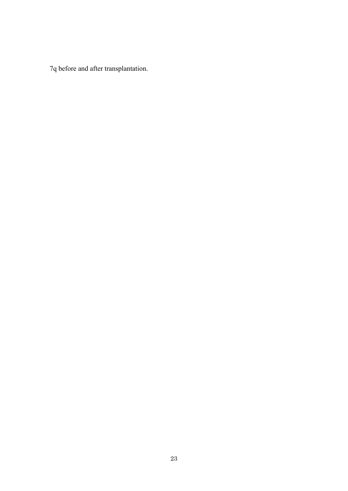7q before and after transplantation.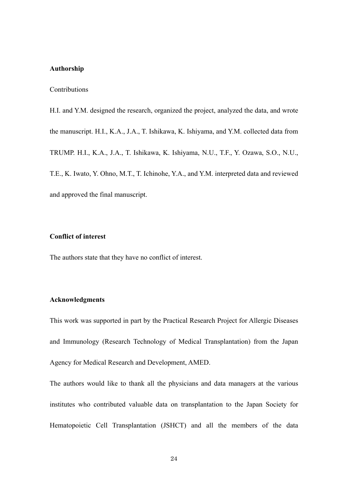## **Authorship**

Contributions

H.I. and Y.M. designed the research, organized the project, analyzed the data, and wrote the manuscript. H.I., K.A., J.A., T. Ishikawa, K. Ishiyama, and Y.M. collected data from TRUMP. H.I., K.A., J.A., T. Ishikawa, K. Ishiyama, N.U., T.F., Y. Ozawa, S.O., N.U., T.E., K. Iwato, Y. Ohno, M.T., T. Ichinohe, Y.A., and Y.M. interpreted data and reviewed and approved the final manuscript.

## **Conflict of interest**

The authors state that they have no conflict of interest.

## **Acknowledgments**

This work was supported in part by the Practical Research Project for Allergic Diseases and Immunology (Research Technology of Medical Transplantation) from the Japan Agency for Medical Research and Development, AMED.

The authors would like to thank all the physicians and data managers at the various institutes who contributed valuable data on transplantation to the Japan Society for Hematopoietic Cell Transplantation (JSHCT) and all the members of the data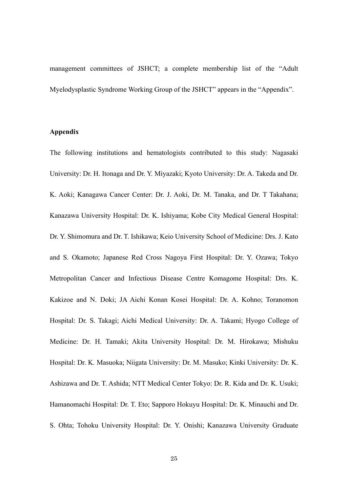management committees of JSHCT; a complete membership list of the "Adult Myelodysplastic Syndrome Working Group of the JSHCT" appears in the "Appendix".

## **Appendix**

The following institutions and hematologists contributed to this study: Nagasaki University: Dr. H. Itonaga and Dr. Y. Miyazaki; Kyoto University: Dr. A. Takeda and Dr. K. Aoki; Kanagawa Cancer Center: Dr. J. Aoki, Dr. M. Tanaka, and Dr. T Takahana; Kanazawa University Hospital: Dr. K. Ishiyama; Kobe City Medical General Hospital: Dr. Y. Shimomura and Dr. T. Ishikawa; Keio University School of Medicine: Drs. J. Kato and S. Okamoto; Japanese Red Cross Nagoya First Hospital: Dr. Y. Ozawa; Tokyo Metropolitan Cancer and Infectious Disease Centre Komagome Hospital: Drs. K. Kakizoe and N. Doki; JA Aichi Konan Kosei Hospital: Dr. A. Kohno; Toranomon Hospital: Dr. S. Takagi; Aichi Medical University: Dr. A. Takami; Hyogo College of Medicine: Dr. H. Tamaki; Akita University Hospital: Dr. M. Hirokawa; Mishuku Hospital: Dr. K. Masuoka; Niigata University: Dr. M. Masuko; Kinki University: Dr. K. Ashizawa and Dr. T. Ashida; NTT Medical Center Tokyo: Dr. R. Kida and Dr. K. Usuki; Hamanomachi Hospital: Dr. T. Eto; Sapporo Hokuyu Hospital: Dr. K. Minauchi and Dr. S. Ohta; Tohoku University Hospital: Dr. Y. Onishi; Kanazawa University Graduate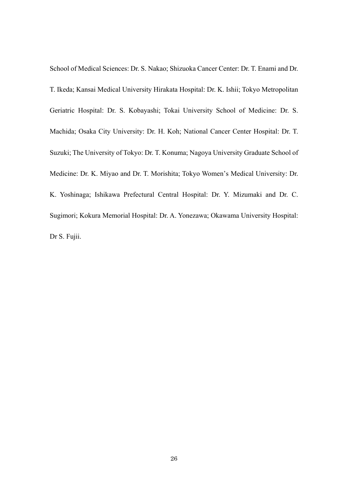School of Medical Sciences: Dr. S. Nakao; Shizuoka Cancer Center: Dr. T. Enami and Dr. T. Ikeda; Kansai Medical University Hirakata Hospital: Dr. K. Ishii; Tokyo Metropolitan Geriatric Hospital: Dr. S. Kobayashi; Tokai University School of Medicine: Dr. S. Machida; Osaka City University: Dr. H. Koh; National Cancer Center Hospital: Dr. T. Suzuki; The University of Tokyo: Dr. T. Konuma; Nagoya University Graduate School of Medicine: Dr. K. Miyao and Dr. T. Morishita; Tokyo Women's Medical University: Dr. K. Yoshinaga; Ishikawa Prefectural Central Hospital: Dr. Y. Mizumaki and Dr. C. Sugimori; Kokura Memorial Hospital: Dr. A. Yonezawa; Okawama University Hospital: Dr S. Fujii.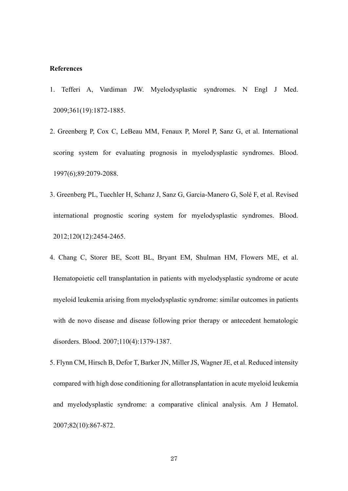## **References**

- 1. Tefferi A, Vardiman JW. Myelodysplastic syndromes. N Engl J Med. 2009;361(19):1872-1885.
- 2. Greenberg P, Cox C, LeBeau MM, Fenaux P, Morel P, Sanz G, et al. International scoring system for evaluating prognosis in myelodysplastic syndromes. Blood. 1997(6);89:2079-2088.
- 3. Greenberg PL, Tuechler H, Schanz J, Sanz G, Garcia-Manero G, Solé F, et al. Revised international prognostic scoring system for myelodysplastic syndromes. Blood. 2012;120(12):2454-2465.
- 4. Chang C, Storer BE, Scott BL, Bryant EM, Shulman HM, Flowers ME, et al. Hematopoietic cell transplantation in patients with myelodysplastic syndrome or acute myeloid leukemia arising from myelodysplastic syndrome: similar outcomes in patients with de novo disease and disease following prior therapy or antecedent hematologic disorders. Blood. 2007;110(4):1379-1387.
- 5. Flynn CM, Hirsch B, Defor T, Barker JN, Miller JS, Wagner JE, et al. Reduced intensity compared with high dose conditioning for allotransplantation in acute myeloid leukemia and myelodysplastic syndrome: a comparative clinical analysis. Am J Hematol. 2007;82(10):867-872.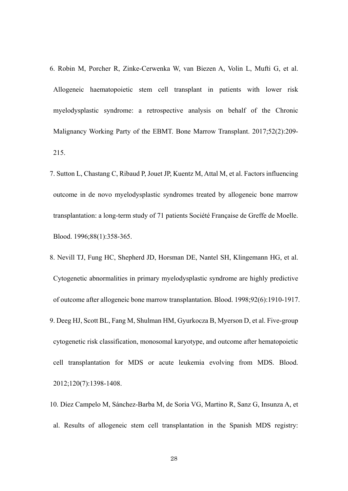- 6. Robin M, Porcher R, Zinke-Cerwenka W, van Biezen A, Volin L, Mufti G, et al. Allogeneic haematopoietic stem cell transplant in patients with lower risk myelodysplastic syndrome: a retrospective analysis on behalf of the Chronic Malignancy Working Party of the EBMT. Bone Marrow Transplant. 2017;52(2):209- 215.
- 7. Sutton L, Chastang C, Ribaud P, Jouet JP, Kuentz M, Attal M, et al. Factors influencing outcome in de novo myelodysplastic syndromes treated by allogeneic bone marrow transplantation: a long-term study of 71 patients Société Française de Greffe de Moelle. Blood. 1996;88(1):358-365.
- 8. Nevill TJ, Fung HC, Shepherd JD, Horsman DE, Nantel SH, Klingemann HG, et al. Cytogenetic abnormalities in primary myelodysplastic syndrome are highly predictive of outcome after allogeneic bone marrow transplantation. Blood. 1998;92(6):1910-1917. 9. Deeg HJ, Scott BL, Fang M, Shulman HM, Gyurkocza B, Myerson D, et al. Five-group cytogenetic risk classification, monosomal karyotype, and outcome after hematopoietic cell transplantation for MDS or acute leukemia evolving from MDS. Blood. 2012;120(7):1398-1408.
- 10. Díez Campelo M, Sánchez-Barba M, de Soria VG, Martino R, Sanz G, Insunza A, et al. Results of allogeneic stem cell transplantation in the Spanish MDS registry: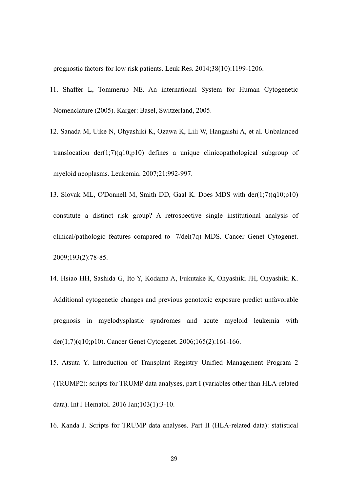prognostic factors for low risk patients. Leuk Res. 2014;38(10):1199-1206.

- 11. Shaffer L, Tommerup NE. An international System for Human Cytogenetic Nomenclature (2005). Karger: Basel, Switzerland, 2005.
- 12. Sanada M, Uike N, Ohyashiki K, Ozawa K, Lili W, Hangaishi A, et al. Unbalanced translocation  $der(1;7)(q10;p10)$  defines a unique clinicopathological subgroup of myeloid neoplasms. Leukemia. 2007;21:992-997.
- 13. Slovak ML, O'Donnell M, Smith DD, Gaal K. Does MDS with der(1;7)(q10;p10) constitute a distinct risk group? A retrospective single institutional analysis of clinical/pathologic features compared to -7/del(7q) MDS. Cancer Genet Cytogenet. 2009;193(2):78-85.
- 14. Hsiao HH, Sashida G, Ito Y, Kodama A, Fukutake K, Ohyashiki JH, Ohyashiki K. Additional cytogenetic changes and previous genotoxic exposure predict unfavorable prognosis in myelodysplastic syndromes and acute myeloid leukemia with der(1;7)(q10;p10). Cancer Genet Cytogenet. 2006;165(2):161-166.
- 15. Atsuta Y. Introduction of Transplant Registry Unified Management Program 2 (TRUMP2): scripts for TRUMP data analyses, part I (variables other than HLA-related data). Int J Hematol. 2016 Jan;103(1):3-10.
- 16. Kanda J. Scripts for TRUMP data analyses. Part II (HLA-related data): statistical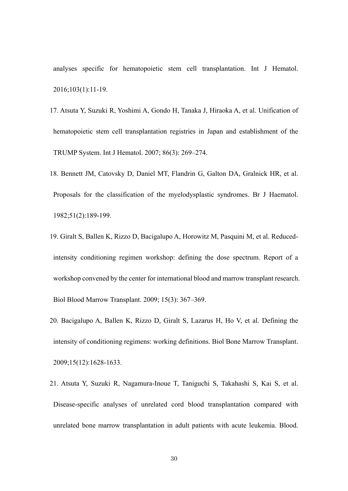analyses specific for hematopoietic stem cell transplantation. Int J Hematol. 2016;103(1):11-19.

- 17. Atsuta Y, Suzuki R, Yoshimi A, Gondo H, Tanaka J, Hiraoka A, et al. Unification of hematopoietic stem cell transplantation registries in Japan and establishment of the TRUMP System. Int J Hematol. 2007; 86(3): 269–274.
- 18. Bennett JM, Catovsky D, Daniel MT, Flandrin G, Galton DA, Gralnick HR, et al. Proposals for the classification of the myelodysplastic syndromes. Br J Haematol. 1982;51(2):189-199.
- 19. Giralt S, Ballen K, Rizzo D, Bacigalupo A, Horowitz M, Pasquini M, et al. Reducedintensity conditioning regimen workshop: defining the dose spectrum. Report of a workshop convened by the center for international blood and marrow transplant research. Biol Blood Marrow Transplant. 2009; 15(3): 367–369.
- 20. Bacigalupo A, Ballen K, Rizzo D, Giralt S, Lazarus H, Ho V, et al. Defining the intensity of conditioning regimens: working definitions. Biol Bone Marrow Transplant. 2009;15(12):1628-1633.
- 21. Atsuta Y, Suzuki R, Nagamura-Inoue T, Taniguchi S, Takahashi S, Kai S, et al. Disease-specific analyses of unrelated cord blood transplantation compared with unrelated bone marrow transplantation in adult patients with acute leukemia. Blood.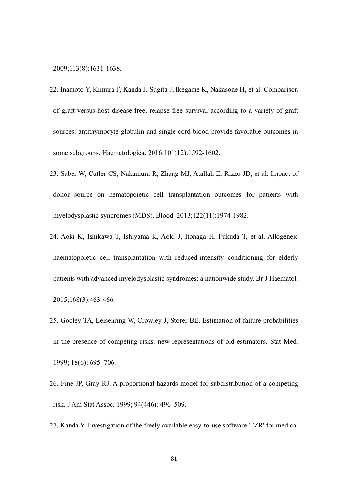#### 2009;113(8):1631-1638.

- 22. Inamoto Y, Kimura F, Kanda J, Sugita J, Ikegame K, Nakasone H, et al. Comparison of graft-versus-host disease-free, relapse-free survival according to a variety of graft sources: antithymocyte globulin and single cord blood provide favorable outcomes in some subgroups. Haematologica. 2016;101(12):1592-1602.
- 23. Saber W, Cutler CS, Nakamura R, Zhang MJ, Atallah E, Rizzo JD, et al. Impact of donor source on hematopoietic cell transplantation outcomes for patients with myelodysplastic syndromes (MDS). Blood. 2013;122(11):1974-1982.
- 24. Aoki K, Ishikawa T, Ishiyama K, Aoki J, Itonaga H, Fukuda T, et al. Allogeneic haematopoietic cell transplantation with reduced-intensity conditioning for elderly patients with advanced myelodysplastic syndromes: a nationwide study. Br J Haematol. 2015;168(3):463-466.
- 25. Gooley TA, Leisenring W, Crowley J, Storer BE. Estimation of failure probabilities in the presence of competing risks: new representations of old estimators. Stat Med. 1999; 18(6): 695–706.
- 26. Fine JP, Gray RJ. A proportional hazards model for subdistribution of a competing risk. J Am Stat Assoc. 1999; 94(446): 496–509.
- 27. Kanda Y. Investigation of the freely available easy-to-use software 'EZR' for medical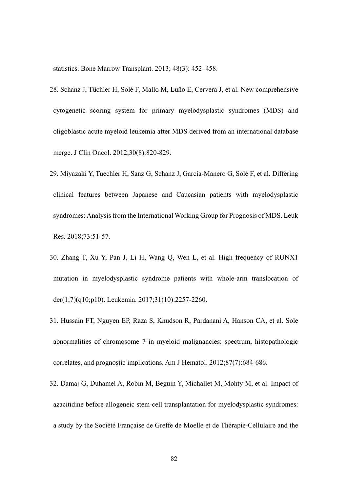statistics. Bone Marrow Transplant. 2013; 48(3): 452–458.

- 28. Schanz J, Tüchler H, Solé F, Mallo M, Luño E, Cervera J, et al. New comprehensive cytogenetic scoring system for primary myelodysplastic syndromes (MDS) and oligoblastic acute myeloid leukemia after MDS derived from an international database merge. J Clin Oncol. 2012;30(8):820-829.
- 29. Miyazaki Y, Tuechler H, Sanz G, Schanz J, Garcia-Manero G, Solé F, et al. Differing clinical features between Japanese and Caucasian patients with myelodysplastic syndromes: Analysis from the International Working Group for Prognosis of MDS. Leuk Res. 2018;73:51-57.
- 30. Zhang T, Xu Y, Pan J, Li H, Wang Q, Wen L, et al. High frequency of RUNX1 mutation in myelodysplastic syndrome patients with whole-arm translocation of der(1;7)(q10;p10). Leukemia. 2017;31(10):2257-2260.
- 31. Hussain FT, Nguyen EP, Raza S, Knudson R, Pardanani A, Hanson CA, et al. Sole abnormalities of chromosome 7 in myeloid malignancies: spectrum, histopathologic correlates, and prognostic implications. Am J Hematol. 2012;87(7):684-686.
- 32. Damaj G, Duhamel A, Robin M, Beguin Y, Michallet M, Mohty M, et al. Impact of azacitidine before allogeneic stem-cell transplantation for myelodysplastic syndromes: a study by the Société Française de Greffe de Moelle et de Thérapie-Cellulaire and the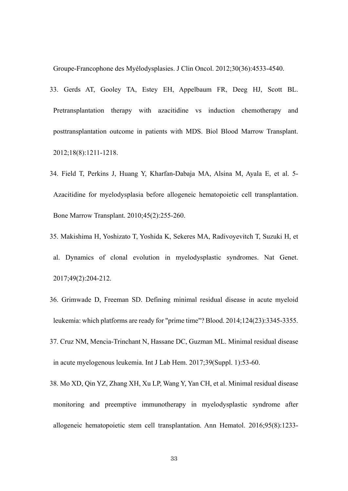Groupe-Francophone des Myélodysplasies. J Clin Oncol. 2012;30(36):4533-4540.

- 33. Gerds AT, Gooley TA, Estey EH, Appelbaum FR, Deeg HJ, Scott BL. Pretransplantation therapy with azacitidine vs induction chemotherapy and posttransplantation outcome in patients with MDS. Biol Blood Marrow Transplant. 2012;18(8):1211-1218.
- 34. Field T, Perkins J, Huang Y, Kharfan-Dabaja MA, Alsina M, Ayala E, et al. 5- Azacitidine for myelodysplasia before allogeneic hematopoietic cell transplantation. Bone Marrow Transplant. 2010;45(2):255-260.
- 35. Makishima H, Yoshizato T, Yoshida K, Sekeres MA, Radivoyevitch T, Suzuki H, et al. Dynamics of clonal evolution in myelodysplastic syndromes. Nat Genet. 2017;49(2):204-212.
- 36. Grimwade D, Freeman SD. Defining minimal residual disease in acute myeloid leukemia: which platforms are ready for "prime time"? Blood. 2014;124(23):3345-3355.
- 37. Cruz NM, Mencia-Trinchant N, Hassane DC, Guzman ML. Minimal residual disease in acute myelogenous leukemia. Int J Lab Hem. 2017;39(Suppl. 1):53-60.
- 38. Mo XD, Qin YZ, Zhang XH, Xu LP, Wang Y, Yan CH, et al. Minimal residual disease monitoring and preemptive immunotherapy in myelodysplastic syndrome after allogeneic hematopoietic stem cell transplantation. Ann Hematol. 2016;95(8):1233-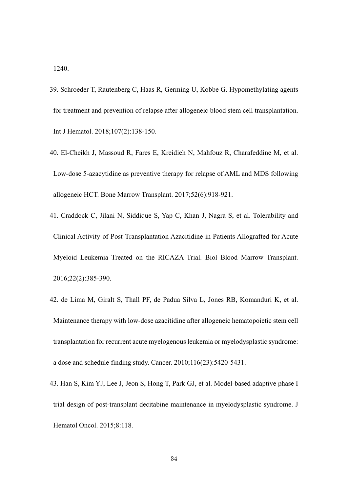1240.

- 39. Schroeder T, Rautenberg C, Haas R, Germing U, Kobbe G. Hypomethylating agents for treatment and prevention of relapse after allogeneic blood stem cell transplantation. Int J Hematol. 2018;107(2):138-150.
- 40. El-Cheikh J, Massoud R, Fares E, Kreidieh N, Mahfouz R, Charafeddine M, et al. Low-dose 5-azacytidine as preventive therapy for relapse of AML and MDS following allogeneic HCT. Bone Marrow Transplant. 2017;52(6):918-921.
- 41. Craddock C, Jilani N, Siddique S, Yap C, Khan J, Nagra S, et al. Tolerability and Clinical Activity of Post-Transplantation Azacitidine in Patients Allografted for Acute Myeloid Leukemia Treated on the RICAZA Trial. Biol Blood Marrow Transplant. 2016;22(2):385-390.
- 42. de Lima M, Giralt S, Thall PF, de Padua Silva L, Jones RB, Komanduri K, et al. Maintenance therapy with low-dose azacitidine after allogeneic hematopoietic stem cell transplantation for recurrent acute myelogenous leukemia or myelodysplastic syndrome: a dose and schedule finding study. Cancer. 2010;116(23):5420-5431.
- 43. Han S, Kim YJ, Lee J, Jeon S, Hong T, Park GJ, et al. Model-based adaptive phase I trial design of post-transplant decitabine maintenance in myelodysplastic syndrome. J Hematol Oncol. 2015;8:118.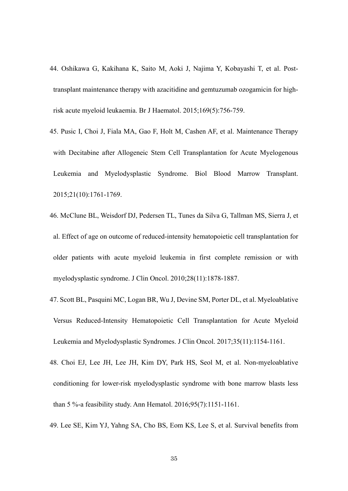- 44. Oshikawa G, Kakihana K, Saito M, Aoki J, Najima Y, Kobayashi T, et al. Posttransplant maintenance therapy with azacitidine and gemtuzumab ozogamicin for highrisk acute myeloid leukaemia. Br J Haematol. 2015;169(5):756-759.
- 45. Pusic I, Choi J, Fiala MA, Gao F, Holt M, Cashen AF, et al. Maintenance Therapy with Decitabine after Allogeneic Stem Cell Transplantation for Acute Myelogenous Leukemia and Myelodysplastic Syndrome. Biol Blood Marrow Transplant. 2015;21(10):1761-1769.
- 46. McClune BL, Weisdorf DJ, Pedersen TL, Tunes da Silva G, Tallman MS, Sierra J, et al. Effect of age on outcome of reduced-intensity hematopoietic cell transplantation for older patients with acute myeloid leukemia in first complete remission or with myelodysplastic syndrome. J Clin Oncol. 2010;28(11):1878-1887.
- 47. Scott BL, Pasquini MC, Logan BR, Wu J, Devine SM, Porter DL, et al. Myeloablative Versus Reduced-Intensity Hematopoietic Cell Transplantation for Acute Myeloid Leukemia and Myelodysplastic Syndromes. J Clin Oncol. 2017;35(11):1154-1161.
- 48. Choi EJ, Lee JH, Lee JH, Kim DY, Park HS, Seol M, et al. Non-myeloablative conditioning for lower-risk myelodysplastic syndrome with bone marrow blasts less than 5 %-a feasibility study. Ann Hematol. 2016;95(7):1151-1161.
- 49. Lee SE, Kim YJ, Yahng SA, Cho BS, Eom KS, Lee S, et al. Survival benefits from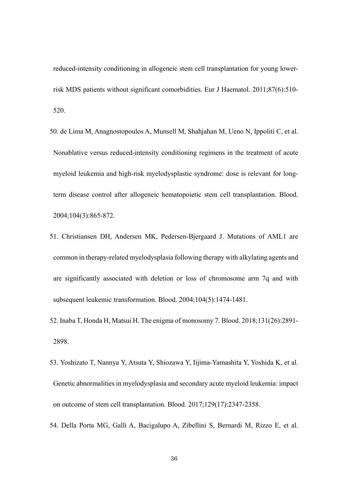reduced-intensity conditioning in allogeneic stem cell transplantation for young lowerrisk MDS patients without significant comorbidities. Eur J Haematol. 2011;87(6):510- 520.

- 50. de Lima M, Anagnostopoulos A, Munsell M, Shahjahan M, Ueno N, Ippoliti C, et al. Nonablative versus reduced-intensity conditioning regimens in the treatment of acute myeloid leukemia and high-risk myelodysplastic syndrome: dose is relevant for longterm disease control after allogeneic hematopoietic stem cell transplantation. Blood. 2004;104(3):865-872.
- 51. Christiansen DH, Andersen MK, Pedersen-Bjergaard J. Mutations of AML1 are common in therapy-related myelodysplasia following therapy with alkylating agents and are significantly associated with deletion or loss of chromosome arm 7q and with subsequent leukemic transformation. Blood. 2004;104(5):1474-1481.
- 52. Inaba T, Honda H, Matsui H. The enigma of monosomy 7. Blood. 2018;131(26):2891- 2898.
- 53. Yoshizato T, Nannya Y, Atsuta Y, Shiozawa Y, Iijima-Yamashita Y, Yoshida K, et al. Genetic abnormalities in myelodysplasia and secondary acute myeloid leukemia: impact on outcome of stem cell transplantation. Blood. 2017;129(17):2347-2358.
- 54. Della Porta MG, Gallì A, Bacigalupo A, Zibellini S, Bernardi M, Rizzo E, et al.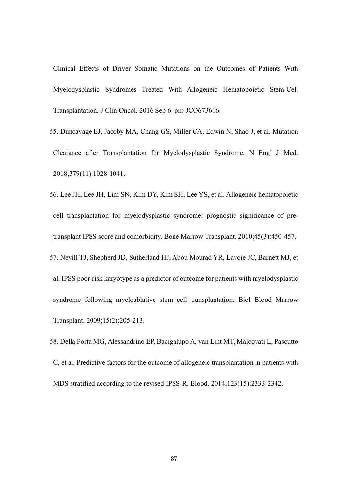Clinical Effects of Driver Somatic Mutations on the Outcomes of Patients With Myelodysplastic Syndromes Treated With Allogeneic Hematopoietic Stem-Cell Transplantation. J Clin Oncol. 2016 Sep 6. pii: JCO673616.

- 55. Duncavage EJ, Jacoby MA, Chang GS, Miller CA, Edwin N, Shao J, et al. Mutation Clearance after Transplantation for Myelodysplastic Syndrome. N Engl J Med. 2018;379(11):1028-1041.
- 56. Lee JH, Lee JH, Lim SN, Kim DY, Kim SH, Lee YS, et al. Allogeneic hematopoietic cell transplantation for myelodysplastic syndrome: prognostic significance of pretransplant IPSS score and comorbidity. Bone Marrow Transplant. 2010;45(3):450-457. 57. Nevill TJ, Shepherd JD, Sutherland HJ, Abou Mourad YR, Lavoie JC, Barnett MJ, et al. IPSS poor-risk karyotype as a predictor of outcome for patients with myelodysplastic syndrome following myeloablative stem cell transplantation. Biol Blood Marrow Transplant. 2009;15(2):205-213.
- 58. Della Porta MG, Alessandrino EP, Bacigalupo A, van Lint MT, Malcovati L, Pascutto C, et al. Predictive factors for the outcome of allogeneic transplantation in patients with MDS stratified according to the revised IPSS-R. Blood. 2014;123(15):2333-2342.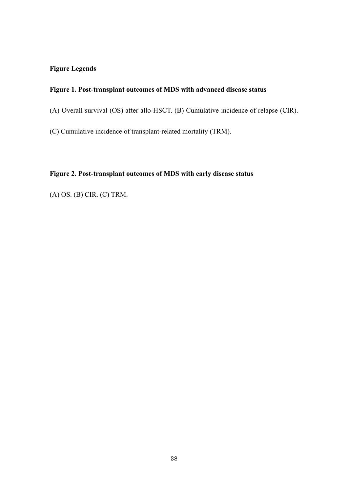# **Figure Legends**

# **Figure 1. Post-transplant outcomes of MDS with advanced disease status**

(A) Overall survival (OS) after allo-HSCT. (B) Cumulative incidence of relapse (CIR).

(C) Cumulative incidence of transplant-related mortality (TRM).

# **Figure 2. Post-transplant outcomes of MDS with early disease status**

(A) OS. (B) CIR. (C) TRM.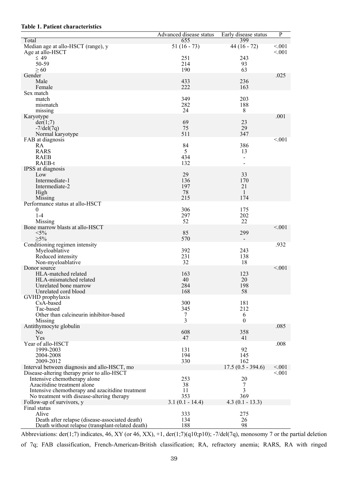## **Table 1. Patient characteristics**

| 655<br>Median age at allo-HSCT (range), y<br>$44(16 - 72)$<br>< 0.01<br>$51(16 - 73)$<br>< 0.01<br>Age at allo-HSCT<br>$\leq 49$<br>243<br>251<br>50-59<br>214<br>93<br>190<br>63<br>$\geq 60$<br>.025<br>Gender<br>433<br>236<br>Male<br>222<br>Female<br>163<br>Sex match<br>349<br>203<br>match<br>282<br>188<br>mismatch<br>24<br>8<br>missing<br>.001<br>Karyotype<br>69<br>23<br>der(1,7)<br>29<br>75<br>$-7$ /del $(7q)$<br>511<br>347<br>Normal karyotype<br>< 0.001<br>FAB at diagnosis<br>84<br>386<br>RA<br><b>RARS</b><br>5<br>13<br><b>RAEB</b><br>434<br>$\overline{\phantom{0}}$<br>132<br>RAEB-t<br>$\equiv$<br>IPSS at diagnosis<br>29<br>33<br>Low<br>136<br>170<br>Intermediate-1<br>197<br>21<br>Intermediate-2<br>78<br>High<br>$\mathbf{1}$<br>215<br>174<br>Missing<br>Performance status at allo-HSCT<br>306<br>175<br>0<br>297<br>202<br>$1 - 4$<br>22<br>52<br>Missing<br>< 0.01<br>Bone marrow blasts at allo-HSCT<br>$<$ 5%<br>85<br>299<br>$>5\%$<br>570<br>Conditioning regimen intensity<br>.932<br>392<br>243<br>Myeloablative<br>231<br>138<br>Reduced intensity<br>32<br>18<br>Non-myeloablative<br>< 0.001<br>Donor source<br>HLA-matched related<br>163<br>123<br>20<br>HLA-mismatched related<br>40<br>198<br>284<br>Unrelated bone marrow<br>168<br>58<br>Unrelated cord blood<br>GVHD prophylaxis<br>CsA-based<br>300<br>181<br>212<br>Tac-based<br>345<br>Other than calcineurin inhibitor-based<br>6<br>7<br>3<br>$\boldsymbol{0}$<br>Missing<br>.085<br>Antithymocyte globulin<br>608<br>358<br>No<br>Yes<br>47<br>41<br>Year of allo-HSCT<br>.008<br>1999-2003<br>92<br>131<br>2004-2008<br>194<br>145<br>2009-2012<br>330<br>162<br>$17.5(0.5 - 394.6)$<br>Interval between diagnosis and allo-HSCT, mo<br>< 0.001<br>< 0.01<br>Disease-altering therapy prior to allo-HSCT |       | <b>Advanced</b> disease status | Early disease status | $\overline{P}$ |
|-------------------------------------------------------------------------------------------------------------------------------------------------------------------------------------------------------------------------------------------------------------------------------------------------------------------------------------------------------------------------------------------------------------------------------------------------------------------------------------------------------------------------------------------------------------------------------------------------------------------------------------------------------------------------------------------------------------------------------------------------------------------------------------------------------------------------------------------------------------------------------------------------------------------------------------------------------------------------------------------------------------------------------------------------------------------------------------------------------------------------------------------------------------------------------------------------------------------------------------------------------------------------------------------------------------------------------------------------------------------------------------------------------------------------------------------------------------------------------------------------------------------------------------------------------------------------------------------------------------------------------------------------------------------------------------------------------------------------------------------------------------------------------------------------------------------------|-------|--------------------------------|----------------------|----------------|
|                                                                                                                                                                                                                                                                                                                                                                                                                                                                                                                                                                                                                                                                                                                                                                                                                                                                                                                                                                                                                                                                                                                                                                                                                                                                                                                                                                                                                                                                                                                                                                                                                                                                                                                                                                                                                         | Total |                                | 399                  |                |
|                                                                                                                                                                                                                                                                                                                                                                                                                                                                                                                                                                                                                                                                                                                                                                                                                                                                                                                                                                                                                                                                                                                                                                                                                                                                                                                                                                                                                                                                                                                                                                                                                                                                                                                                                                                                                         |       |                                |                      |                |
|                                                                                                                                                                                                                                                                                                                                                                                                                                                                                                                                                                                                                                                                                                                                                                                                                                                                                                                                                                                                                                                                                                                                                                                                                                                                                                                                                                                                                                                                                                                                                                                                                                                                                                                                                                                                                         |       |                                |                      |                |
|                                                                                                                                                                                                                                                                                                                                                                                                                                                                                                                                                                                                                                                                                                                                                                                                                                                                                                                                                                                                                                                                                                                                                                                                                                                                                                                                                                                                                                                                                                                                                                                                                                                                                                                                                                                                                         |       |                                |                      |                |
|                                                                                                                                                                                                                                                                                                                                                                                                                                                                                                                                                                                                                                                                                                                                                                                                                                                                                                                                                                                                                                                                                                                                                                                                                                                                                                                                                                                                                                                                                                                                                                                                                                                                                                                                                                                                                         |       |                                |                      |                |
|                                                                                                                                                                                                                                                                                                                                                                                                                                                                                                                                                                                                                                                                                                                                                                                                                                                                                                                                                                                                                                                                                                                                                                                                                                                                                                                                                                                                                                                                                                                                                                                                                                                                                                                                                                                                                         |       |                                |                      |                |
|                                                                                                                                                                                                                                                                                                                                                                                                                                                                                                                                                                                                                                                                                                                                                                                                                                                                                                                                                                                                                                                                                                                                                                                                                                                                                                                                                                                                                                                                                                                                                                                                                                                                                                                                                                                                                         |       |                                |                      |                |
|                                                                                                                                                                                                                                                                                                                                                                                                                                                                                                                                                                                                                                                                                                                                                                                                                                                                                                                                                                                                                                                                                                                                                                                                                                                                                                                                                                                                                                                                                                                                                                                                                                                                                                                                                                                                                         |       |                                |                      |                |
|                                                                                                                                                                                                                                                                                                                                                                                                                                                                                                                                                                                                                                                                                                                                                                                                                                                                                                                                                                                                                                                                                                                                                                                                                                                                                                                                                                                                                                                                                                                                                                                                                                                                                                                                                                                                                         |       |                                |                      |                |
|                                                                                                                                                                                                                                                                                                                                                                                                                                                                                                                                                                                                                                                                                                                                                                                                                                                                                                                                                                                                                                                                                                                                                                                                                                                                                                                                                                                                                                                                                                                                                                                                                                                                                                                                                                                                                         |       |                                |                      |                |
|                                                                                                                                                                                                                                                                                                                                                                                                                                                                                                                                                                                                                                                                                                                                                                                                                                                                                                                                                                                                                                                                                                                                                                                                                                                                                                                                                                                                                                                                                                                                                                                                                                                                                                                                                                                                                         |       |                                |                      |                |
|                                                                                                                                                                                                                                                                                                                                                                                                                                                                                                                                                                                                                                                                                                                                                                                                                                                                                                                                                                                                                                                                                                                                                                                                                                                                                                                                                                                                                                                                                                                                                                                                                                                                                                                                                                                                                         |       |                                |                      |                |
|                                                                                                                                                                                                                                                                                                                                                                                                                                                                                                                                                                                                                                                                                                                                                                                                                                                                                                                                                                                                                                                                                                                                                                                                                                                                                                                                                                                                                                                                                                                                                                                                                                                                                                                                                                                                                         |       |                                |                      |                |
|                                                                                                                                                                                                                                                                                                                                                                                                                                                                                                                                                                                                                                                                                                                                                                                                                                                                                                                                                                                                                                                                                                                                                                                                                                                                                                                                                                                                                                                                                                                                                                                                                                                                                                                                                                                                                         |       |                                |                      |                |
|                                                                                                                                                                                                                                                                                                                                                                                                                                                                                                                                                                                                                                                                                                                                                                                                                                                                                                                                                                                                                                                                                                                                                                                                                                                                                                                                                                                                                                                                                                                                                                                                                                                                                                                                                                                                                         |       |                                |                      |                |
|                                                                                                                                                                                                                                                                                                                                                                                                                                                                                                                                                                                                                                                                                                                                                                                                                                                                                                                                                                                                                                                                                                                                                                                                                                                                                                                                                                                                                                                                                                                                                                                                                                                                                                                                                                                                                         |       |                                |                      |                |
|                                                                                                                                                                                                                                                                                                                                                                                                                                                                                                                                                                                                                                                                                                                                                                                                                                                                                                                                                                                                                                                                                                                                                                                                                                                                                                                                                                                                                                                                                                                                                                                                                                                                                                                                                                                                                         |       |                                |                      |                |
|                                                                                                                                                                                                                                                                                                                                                                                                                                                                                                                                                                                                                                                                                                                                                                                                                                                                                                                                                                                                                                                                                                                                                                                                                                                                                                                                                                                                                                                                                                                                                                                                                                                                                                                                                                                                                         |       |                                |                      |                |
|                                                                                                                                                                                                                                                                                                                                                                                                                                                                                                                                                                                                                                                                                                                                                                                                                                                                                                                                                                                                                                                                                                                                                                                                                                                                                                                                                                                                                                                                                                                                                                                                                                                                                                                                                                                                                         |       |                                |                      |                |
|                                                                                                                                                                                                                                                                                                                                                                                                                                                                                                                                                                                                                                                                                                                                                                                                                                                                                                                                                                                                                                                                                                                                                                                                                                                                                                                                                                                                                                                                                                                                                                                                                                                                                                                                                                                                                         |       |                                |                      |                |
|                                                                                                                                                                                                                                                                                                                                                                                                                                                                                                                                                                                                                                                                                                                                                                                                                                                                                                                                                                                                                                                                                                                                                                                                                                                                                                                                                                                                                                                                                                                                                                                                                                                                                                                                                                                                                         |       |                                |                      |                |
|                                                                                                                                                                                                                                                                                                                                                                                                                                                                                                                                                                                                                                                                                                                                                                                                                                                                                                                                                                                                                                                                                                                                                                                                                                                                                                                                                                                                                                                                                                                                                                                                                                                                                                                                                                                                                         |       |                                |                      |                |
|                                                                                                                                                                                                                                                                                                                                                                                                                                                                                                                                                                                                                                                                                                                                                                                                                                                                                                                                                                                                                                                                                                                                                                                                                                                                                                                                                                                                                                                                                                                                                                                                                                                                                                                                                                                                                         |       |                                |                      |                |
|                                                                                                                                                                                                                                                                                                                                                                                                                                                                                                                                                                                                                                                                                                                                                                                                                                                                                                                                                                                                                                                                                                                                                                                                                                                                                                                                                                                                                                                                                                                                                                                                                                                                                                                                                                                                                         |       |                                |                      |                |
|                                                                                                                                                                                                                                                                                                                                                                                                                                                                                                                                                                                                                                                                                                                                                                                                                                                                                                                                                                                                                                                                                                                                                                                                                                                                                                                                                                                                                                                                                                                                                                                                                                                                                                                                                                                                                         |       |                                |                      |                |
|                                                                                                                                                                                                                                                                                                                                                                                                                                                                                                                                                                                                                                                                                                                                                                                                                                                                                                                                                                                                                                                                                                                                                                                                                                                                                                                                                                                                                                                                                                                                                                                                                                                                                                                                                                                                                         |       |                                |                      |                |
|                                                                                                                                                                                                                                                                                                                                                                                                                                                                                                                                                                                                                                                                                                                                                                                                                                                                                                                                                                                                                                                                                                                                                                                                                                                                                                                                                                                                                                                                                                                                                                                                                                                                                                                                                                                                                         |       |                                |                      |                |
|                                                                                                                                                                                                                                                                                                                                                                                                                                                                                                                                                                                                                                                                                                                                                                                                                                                                                                                                                                                                                                                                                                                                                                                                                                                                                                                                                                                                                                                                                                                                                                                                                                                                                                                                                                                                                         |       |                                |                      |                |
|                                                                                                                                                                                                                                                                                                                                                                                                                                                                                                                                                                                                                                                                                                                                                                                                                                                                                                                                                                                                                                                                                                                                                                                                                                                                                                                                                                                                                                                                                                                                                                                                                                                                                                                                                                                                                         |       |                                |                      |                |
|                                                                                                                                                                                                                                                                                                                                                                                                                                                                                                                                                                                                                                                                                                                                                                                                                                                                                                                                                                                                                                                                                                                                                                                                                                                                                                                                                                                                                                                                                                                                                                                                                                                                                                                                                                                                                         |       |                                |                      |                |
|                                                                                                                                                                                                                                                                                                                                                                                                                                                                                                                                                                                                                                                                                                                                                                                                                                                                                                                                                                                                                                                                                                                                                                                                                                                                                                                                                                                                                                                                                                                                                                                                                                                                                                                                                                                                                         |       |                                |                      |                |
|                                                                                                                                                                                                                                                                                                                                                                                                                                                                                                                                                                                                                                                                                                                                                                                                                                                                                                                                                                                                                                                                                                                                                                                                                                                                                                                                                                                                                                                                                                                                                                                                                                                                                                                                                                                                                         |       |                                |                      |                |
|                                                                                                                                                                                                                                                                                                                                                                                                                                                                                                                                                                                                                                                                                                                                                                                                                                                                                                                                                                                                                                                                                                                                                                                                                                                                                                                                                                                                                                                                                                                                                                                                                                                                                                                                                                                                                         |       |                                |                      |                |
|                                                                                                                                                                                                                                                                                                                                                                                                                                                                                                                                                                                                                                                                                                                                                                                                                                                                                                                                                                                                                                                                                                                                                                                                                                                                                                                                                                                                                                                                                                                                                                                                                                                                                                                                                                                                                         |       |                                |                      |                |
|                                                                                                                                                                                                                                                                                                                                                                                                                                                                                                                                                                                                                                                                                                                                                                                                                                                                                                                                                                                                                                                                                                                                                                                                                                                                                                                                                                                                                                                                                                                                                                                                                                                                                                                                                                                                                         |       |                                |                      |                |
|                                                                                                                                                                                                                                                                                                                                                                                                                                                                                                                                                                                                                                                                                                                                                                                                                                                                                                                                                                                                                                                                                                                                                                                                                                                                                                                                                                                                                                                                                                                                                                                                                                                                                                                                                                                                                         |       |                                |                      |                |
|                                                                                                                                                                                                                                                                                                                                                                                                                                                                                                                                                                                                                                                                                                                                                                                                                                                                                                                                                                                                                                                                                                                                                                                                                                                                                                                                                                                                                                                                                                                                                                                                                                                                                                                                                                                                                         |       |                                |                      |                |
|                                                                                                                                                                                                                                                                                                                                                                                                                                                                                                                                                                                                                                                                                                                                                                                                                                                                                                                                                                                                                                                                                                                                                                                                                                                                                                                                                                                                                                                                                                                                                                                                                                                                                                                                                                                                                         |       |                                |                      |                |
|                                                                                                                                                                                                                                                                                                                                                                                                                                                                                                                                                                                                                                                                                                                                                                                                                                                                                                                                                                                                                                                                                                                                                                                                                                                                                                                                                                                                                                                                                                                                                                                                                                                                                                                                                                                                                         |       |                                |                      |                |
|                                                                                                                                                                                                                                                                                                                                                                                                                                                                                                                                                                                                                                                                                                                                                                                                                                                                                                                                                                                                                                                                                                                                                                                                                                                                                                                                                                                                                                                                                                                                                                                                                                                                                                                                                                                                                         |       |                                |                      |                |
|                                                                                                                                                                                                                                                                                                                                                                                                                                                                                                                                                                                                                                                                                                                                                                                                                                                                                                                                                                                                                                                                                                                                                                                                                                                                                                                                                                                                                                                                                                                                                                                                                                                                                                                                                                                                                         |       |                                |                      |                |
|                                                                                                                                                                                                                                                                                                                                                                                                                                                                                                                                                                                                                                                                                                                                                                                                                                                                                                                                                                                                                                                                                                                                                                                                                                                                                                                                                                                                                                                                                                                                                                                                                                                                                                                                                                                                                         |       |                                |                      |                |
|                                                                                                                                                                                                                                                                                                                                                                                                                                                                                                                                                                                                                                                                                                                                                                                                                                                                                                                                                                                                                                                                                                                                                                                                                                                                                                                                                                                                                                                                                                                                                                                                                                                                                                                                                                                                                         |       |                                |                      |                |
|                                                                                                                                                                                                                                                                                                                                                                                                                                                                                                                                                                                                                                                                                                                                                                                                                                                                                                                                                                                                                                                                                                                                                                                                                                                                                                                                                                                                                                                                                                                                                                                                                                                                                                                                                                                                                         |       |                                |                      |                |
|                                                                                                                                                                                                                                                                                                                                                                                                                                                                                                                                                                                                                                                                                                                                                                                                                                                                                                                                                                                                                                                                                                                                                                                                                                                                                                                                                                                                                                                                                                                                                                                                                                                                                                                                                                                                                         |       |                                |                      |                |
|                                                                                                                                                                                                                                                                                                                                                                                                                                                                                                                                                                                                                                                                                                                                                                                                                                                                                                                                                                                                                                                                                                                                                                                                                                                                                                                                                                                                                                                                                                                                                                                                                                                                                                                                                                                                                         |       |                                |                      |                |
|                                                                                                                                                                                                                                                                                                                                                                                                                                                                                                                                                                                                                                                                                                                                                                                                                                                                                                                                                                                                                                                                                                                                                                                                                                                                                                                                                                                                                                                                                                                                                                                                                                                                                                                                                                                                                         |       |                                |                      |                |
|                                                                                                                                                                                                                                                                                                                                                                                                                                                                                                                                                                                                                                                                                                                                                                                                                                                                                                                                                                                                                                                                                                                                                                                                                                                                                                                                                                                                                                                                                                                                                                                                                                                                                                                                                                                                                         |       |                                |                      |                |
|                                                                                                                                                                                                                                                                                                                                                                                                                                                                                                                                                                                                                                                                                                                                                                                                                                                                                                                                                                                                                                                                                                                                                                                                                                                                                                                                                                                                                                                                                                                                                                                                                                                                                                                                                                                                                         |       |                                |                      |                |
|                                                                                                                                                                                                                                                                                                                                                                                                                                                                                                                                                                                                                                                                                                                                                                                                                                                                                                                                                                                                                                                                                                                                                                                                                                                                                                                                                                                                                                                                                                                                                                                                                                                                                                                                                                                                                         |       |                                |                      |                |
|                                                                                                                                                                                                                                                                                                                                                                                                                                                                                                                                                                                                                                                                                                                                                                                                                                                                                                                                                                                                                                                                                                                                                                                                                                                                                                                                                                                                                                                                                                                                                                                                                                                                                                                                                                                                                         |       |                                |                      |                |
| 253<br>Intensive chemotherapy alone<br>20                                                                                                                                                                                                                                                                                                                                                                                                                                                                                                                                                                                                                                                                                                                                                                                                                                                                                                                                                                                                                                                                                                                                                                                                                                                                                                                                                                                                                                                                                                                                                                                                                                                                                                                                                                               |       |                                |                      |                |
| 38<br>Azacitidine treatment alone<br>7                                                                                                                                                                                                                                                                                                                                                                                                                                                                                                                                                                                                                                                                                                                                                                                                                                                                                                                                                                                                                                                                                                                                                                                                                                                                                                                                                                                                                                                                                                                                                                                                                                                                                                                                                                                  |       |                                |                      |                |
| 3<br>Intensive chemotherapy and azacitidine treatment<br>11                                                                                                                                                                                                                                                                                                                                                                                                                                                                                                                                                                                                                                                                                                                                                                                                                                                                                                                                                                                                                                                                                                                                                                                                                                                                                                                                                                                                                                                                                                                                                                                                                                                                                                                                                             |       |                                |                      |                |
| 353<br>369<br>No treatment with disease-altering therapy                                                                                                                                                                                                                                                                                                                                                                                                                                                                                                                                                                                                                                                                                                                                                                                                                                                                                                                                                                                                                                                                                                                                                                                                                                                                                                                                                                                                                                                                                                                                                                                                                                                                                                                                                                |       |                                |                      |                |
| Follow-up of survivors, y<br>$3.1(0.1 - 14.4)$<br>$4.3(0.1 - 13.3)$                                                                                                                                                                                                                                                                                                                                                                                                                                                                                                                                                                                                                                                                                                                                                                                                                                                                                                                                                                                                                                                                                                                                                                                                                                                                                                                                                                                                                                                                                                                                                                                                                                                                                                                                                     |       |                                |                      |                |
| Final status                                                                                                                                                                                                                                                                                                                                                                                                                                                                                                                                                                                                                                                                                                                                                                                                                                                                                                                                                                                                                                                                                                                                                                                                                                                                                                                                                                                                                                                                                                                                                                                                                                                                                                                                                                                                            |       |                                |                      |                |
| Alive<br>333<br>275                                                                                                                                                                                                                                                                                                                                                                                                                                                                                                                                                                                                                                                                                                                                                                                                                                                                                                                                                                                                                                                                                                                                                                                                                                                                                                                                                                                                                                                                                                                                                                                                                                                                                                                                                                                                     |       |                                |                      |                |
| Death after relapse (disease-associated death)<br>134<br>26<br>98<br>188<br>Death without relapse (transplant-related death)                                                                                                                                                                                                                                                                                                                                                                                                                                                                                                                                                                                                                                                                                                                                                                                                                                                                                                                                                                                                                                                                                                                                                                                                                                                                                                                                                                                                                                                                                                                                                                                                                                                                                            |       |                                |                      |                |

Abbreviations: der(1;7) indicates, 46, XY (or 46, XX), +1, der(1;7)(q10;p10); -7/del(7q), monosomy 7 or the partial deletion of 7q; FAB classification, French-American-British classification; RA, refractory anemia; RARS, RA with ringed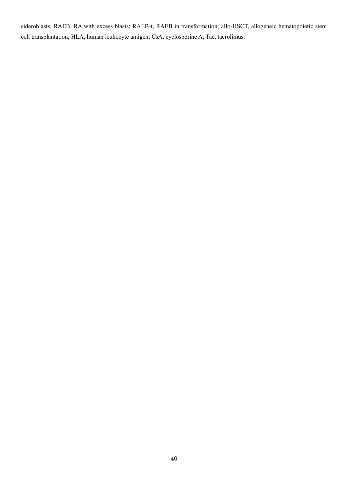sideroblasts; RAEB, RA with excess blasts; RAEB-t, RAEB in transformation; allo-HSCT, allogeneic hematopoietic stem cell transplantation; HLA, human leukocyte antigen; CsA, cyclosporine A; Tac, tacrolimus.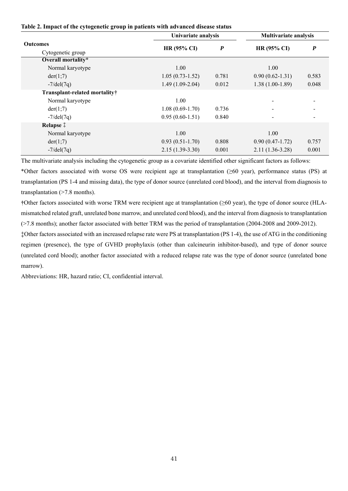|  |  |  | Table 2. Impact of the cytogenetic group in patients with advanced disease status |  |
|--|--|--|-----------------------------------------------------------------------------------|--|
|  |  |  |                                                                                   |  |

|                               | Univariate analysis | <b>Multivariate analysis</b> |                     |                  |  |
|-------------------------------|---------------------|------------------------------|---------------------|------------------|--|
| <b>Outcomes</b>               | <b>HR (95% CI)</b>  | $\boldsymbol{P}$             | HR (95% CI)         | $\boldsymbol{P}$ |  |
| Cytogenetic group             |                     |                              |                     |                  |  |
| Overall mortality*            |                     |                              |                     |                  |  |
| Normal karyotype              | 1.00                |                              | 1.00                |                  |  |
| der(1,7)                      | $1.05(0.73-1.52)$   | 0.781                        | $0.90(0.62 - 1.31)$ | 0.583            |  |
| $-7/\text{del}(7q)$           | $1.49(1.09-2.04)$   | 0.012                        | $1.38(1.00-1.89)$   | 0.048            |  |
| Transplant-related mortality† |                     |                              |                     |                  |  |
| Normal karyotype              | 1.00                |                              |                     |                  |  |
| der(1,7)                      | $1.08(0.69-1.70)$   | 0.736                        |                     |                  |  |
| $-7$ /del $(7q)$              | $0.95(0.60-1.51)$   | 0.840                        |                     |                  |  |
| Relapse <sup>†</sup>          |                     |                              |                     |                  |  |
| Normal karyotype              | 1.00                |                              | 1.00                |                  |  |
| der(1;7)                      | $0.93(0.51-1.70)$   | 0.808                        | $0.90(0.47-1.72)$   | 0.757            |  |
| $-7$ /del $(7q)$              | $2.15(1.39-3.30)$   | 0.001                        | $2.11(1.36-3.28)$   | 0.001            |  |

The multivariate analysis including the cytogenetic group as a covariate identified other significant factors as follows: \*Other factors associated with worse OS were recipient age at transplantation (≥60 year), performance status (PS) at transplantation (PS 1-4 and missing data), the type of donor source (unrelated cord blood), and the interval from diagnosis to transplantation (>7.8 months).

**†**Other factors associated with worse TRM were recipient age at transplantation (≥60 year), the type of donor source (HLAmismatched related graft, unrelated bone marrow, and unrelated cord blood), and the interval from diagnosis to transplantation (>7.8 months); another factor associated with better TRM was the period of transplantation (2004-2008 and 2009-2012).

‡Other factors associated with an increased relapse rate were PS at transplantation (PS 1-4), the use of ATG in the conditioning regimen (presence), the type of GVHD prophylaxis (other than calcineurin inhibitor-based), and type of donor source (unrelated cord blood); another factor associated with a reduced relapse rate was the type of donor source (unrelated bone marrow).

Abbreviations: HR, hazard ratio; CI, confidential interval.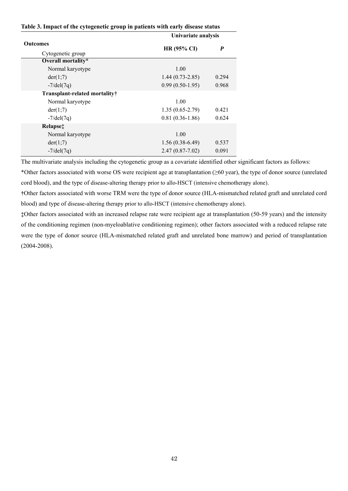|  |  |  | Table 3. Impact of the cytogenetic group in patients with early disease status |
|--|--|--|--------------------------------------------------------------------------------|
|  |  |  |                                                                                |

|                                          | Univariate analysis |       |  |  |  |  |
|------------------------------------------|---------------------|-------|--|--|--|--|
| <b>Outcomes</b><br>Cytogenetic group     | HR (95% CI)         | P     |  |  |  |  |
| Overall mortality*                       |                     |       |  |  |  |  |
| Normal karyotype                         | 1.00                |       |  |  |  |  |
| der(1,7)                                 | $1.44(0.73-2.85)$   | 0.294 |  |  |  |  |
| $-7/\text{del}(7q)$                      | $0.99(0.50-1.95)$   | 0.968 |  |  |  |  |
| Transplant-related mortality†            |                     |       |  |  |  |  |
| Normal karyotype                         | 1.00                |       |  |  |  |  |
| der(1,7)                                 | $1.35(0.65-2.79)$   | 0.421 |  |  |  |  |
| $-7$ /del $(7q)$                         | $0.81(0.36-1.86)$   | 0.624 |  |  |  |  |
| Relapse <sup><math>\ddagger</math></sup> |                     |       |  |  |  |  |
| Normal karyotype                         | 1.00                |       |  |  |  |  |
| der(1,7)                                 | $1.56(0.38-6.49)$   | 0.537 |  |  |  |  |
| $-7/del(7q)$                             | $2.47(0.87 - 7.02)$ | 0.091 |  |  |  |  |

The multivariate analysis including the cytogenetic group as a covariate identified other significant factors as follows:

\*Other factors associated with worse OS were recipient age at transplantation (≥60 year), the type of donor source (unrelated cord blood), and the type of disease-altering therapy prior to allo-HSCT (intensive chemotherapy alone).

**†**Other factors associated with worse TRM were the type of donor source (HLA-mismatched related graft and unrelated cord blood) and type of disease-altering therapy prior to allo-HSCT (intensive chemotherapy alone).

**‡**Other factors associated with an increased relapse rate were recipient age at transplantation (50-59 years) and the intensity of the conditioning regimen (non-myeloablative conditioning regimen); other factors associated with a reduced relapse rate were the type of donor source (HLA-mismatched related graft and unrelated bone marrow) and period of transplantation (2004-2008).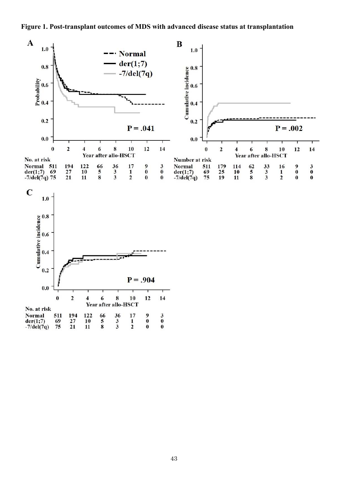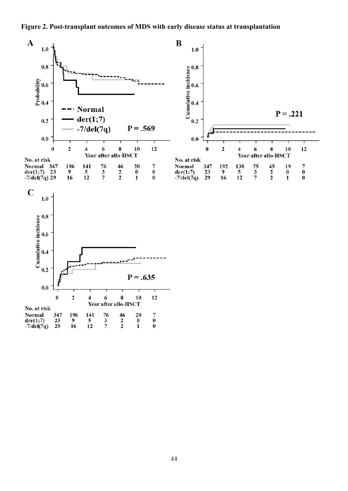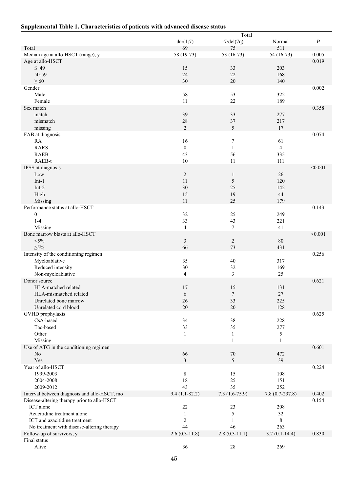# **Supplemental Table 1. Characteristics of patients with advanced disease status**

|                                              |                         | Total            |                  |                  |
|----------------------------------------------|-------------------------|------------------|------------------|------------------|
|                                              | der(1;7)                | $-7/del(7q)$     | Normal           | $\boldsymbol{P}$ |
| Total                                        | 69                      | $\overline{75}$  | $\overline{511}$ |                  |
| Median age at allo-HSCT (range), y           | 58 (19-73)              | 53 (16-73)       | 54 (16-73)       | 0.005            |
| Age at allo-HSCT                             |                         |                  |                  | 0.019            |
| $\leq 49$                                    | 15                      | 33               | 203              |                  |
| 50-59                                        | 24<br>30                | 22<br>20         | 168              |                  |
| $\geq 60$<br>Gender                          |                         |                  | 140              | 0.002            |
| Male                                         | 58                      | 53               | 322              |                  |
| Female                                       | 11                      | 22               | 189              |                  |
| Sex match                                    |                         |                  |                  | 0.358            |
| match                                        | 39                      | 33               | 277              |                  |
| mismatch                                     | 28                      | 37               | 217              |                  |
| missing                                      | $\overline{2}$          | 5                | 17               |                  |
| FAB at diagnosis                             |                         |                  |                  | 0.074            |
| RA                                           | 16                      | 7                | 61               |                  |
| <b>RARS</b>                                  | $\mathbf{0}$            | $\mathbf{1}$     | 4                |                  |
| <b>RAEB</b>                                  | 43                      | 56               | 335              |                  |
| RAEB-t                                       | 10                      | 11               | 111              |                  |
| IPSS at diagnosis                            |                         |                  |                  | < 0.001          |
| Low                                          | $\sqrt{2}$              | $\mathbf{1}$     | $26\,$           |                  |
| $Int-1$                                      | 11                      | 5                | 120              |                  |
| $Int-2$                                      | 30                      | 25               | 142              |                  |
| High                                         | 15                      | 19               | 44               |                  |
| Missing                                      | 11                      | 25               | 179              |                  |
| Performance status at allo-HSCT              |                         |                  |                  | 0.143            |
| $\boldsymbol{0}$                             | 32                      | 25               | 249              |                  |
| $1-4$                                        | 33                      | 43               | 221              |                  |
| Missing                                      | $\overline{\mathbf{4}}$ | $\tau$           | 41               |                  |
| Bone marrow blasts at allo-HSCT              |                         |                  |                  | < 0.001          |
| $<$ 5%                                       | $\mathfrak{Z}$          | $\overline{c}$   | 80               |                  |
| $\geq 5\%$                                   | 66                      | 73               | 431              |                  |
| Intensity of the conditioning regimen        |                         |                  |                  | 0.256            |
| Myeloablative                                | 35                      | 40               | 317              |                  |
| Reduced intensity                            | 30                      | 32               | 169              |                  |
| Non-myeloablative<br>Donor source            | 4                       | 3                | 25               | 0.621            |
| HLA-matched related                          | 17                      | 15               | 131              |                  |
| HLA-mismatched related                       | $\sqrt{6}$              | $\boldsymbol{7}$ | 27               |                  |
| Unrelated bone marrow                        | 26                      | 33               | 225              |                  |
| Unrelated cord blood                         | 20                      | 20               | 128              |                  |
| GVHD prophylaxis                             |                         |                  |                  | 0.625            |
| CsA-based                                    | 34                      | 38               | 228              |                  |
| Tac-based                                    | 33                      | 35               | 277              |                  |
| Other                                        | $\mathbf{1}$            | $\mathbf{1}$     | 5                |                  |
| Missing                                      | $\mathbf{1}$            | 1                | $\mathbf{1}$     |                  |
| Use of ATG in the conditioning regimen       |                         |                  |                  | 0.601            |
| No                                           | 66                      | $70\,$           | 472              |                  |
| Yes                                          | $\overline{3}$          | 5                | 39               |                  |
| Year of allo-HSCT                            |                         |                  |                  | 0.224            |
| 1999-2003                                    | 8                       | 15               | 108              |                  |
| 2004-2008                                    | 18                      | 25               | 151              |                  |
| 2009-2012                                    | 43                      | 35               | 252              |                  |
| Interval between diagnosis and allo-HSCT, mo | $9.4(1.1-82.2)$         | $7.3(1.6-75.9)$  | $7.8(0.7-237.8)$ | 0.402            |
| Disease-altering therapy prior to allo-HSCT  |                         |                  |                  | 0.154            |
| ICT alone                                    | 22                      | 23               | 208              |                  |
| Azacitidine treatment alone                  | 1                       | 5                | 32               |                  |
| ICT and azacitidine treatment                | $\boldsymbol{2}$        | 1                | 8                |                  |
| No treatment with disease-altering therapy   | 44                      | 46               | 263              |                  |
| Follow-up of survivors, y                    | $2.6(0.3-11.8)$         | $2.8(0.3-11.1)$  | $3.2(0.1-14.4)$  | 0.830            |
| Final status                                 |                         |                  |                  |                  |
| Alive                                        | 36                      | 28               | 269              |                  |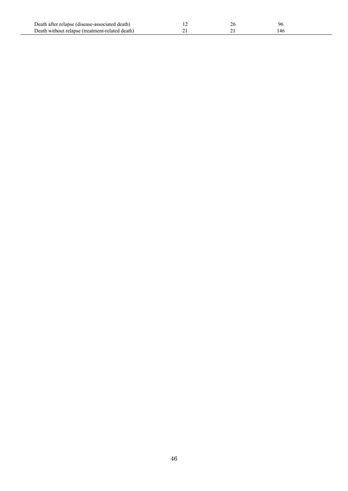| Death after relapse (disease-associated death)  | ∠ | u |  |
|-------------------------------------------------|---|---|--|
| Death without relanse (treatment-related death) |   |   |  |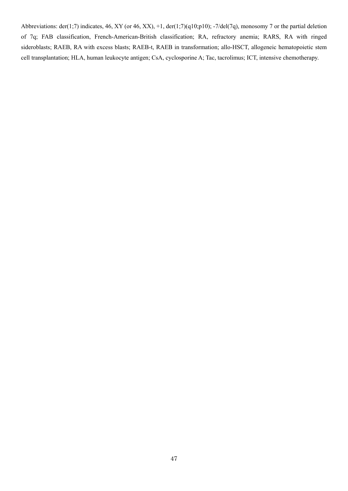Abbreviations: der(1;7) indicates, 46, XY (or 46, XX), +1, der(1;7)(q10;p10); -7/del(7q), monosomy 7 or the partial deletion of 7q; FAB classification, French-American-British classification; RA, refractory anemia; RARS, RA with ringed sideroblasts; RAEB, RA with excess blasts; RAEB-t, RAEB in transformation; allo-HSCT, allogeneic hematopoietic stem cell transplantation; HLA, human leukocyte antigen; CsA, cyclosporine A; Tac, tacrolimus; ICT, intensive chemotherapy.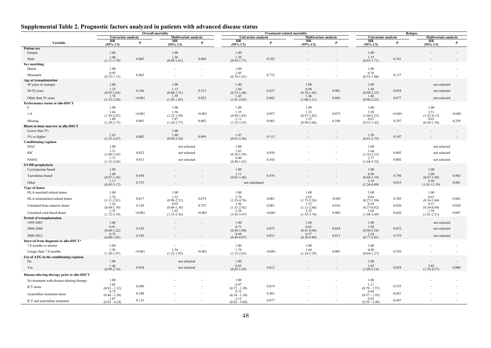## **Supplemental Table 2. Prognostic factors analyzed in patients with advanced disease status**

|                                                     |                           |                  | <b>Overall mortality</b>                  |         |                           |                  | <b>Treatment-related mortality</b> |                  |                           |                  | Relapse                            |                  |
|-----------------------------------------------------|---------------------------|------------------|-------------------------------------------|---------|---------------------------|------------------|------------------------------------|------------------|---------------------------|------------------|------------------------------------|------------------|
|                                                     | Univariate analysis<br>HR |                  | <b>Multivariate analysis</b><br><b>HR</b> |         | Univariate analysis<br>HR |                  | <b>Multivariate analysis</b><br>HR |                  | Univariate analysis<br>HR |                  | <b>Multivariate analysis</b><br>HR |                  |
| Variable                                            | (95% CI)                  | $\boldsymbol{P}$ | (95% CI)                                  | P       | (95% CI)                  | $\boldsymbol{P}$ | $(95\% \text{ C}I)$                | $\boldsymbol{P}$ | (95% CI)                  | $\boldsymbol{P}$ | (95% CI)                           | $\boldsymbol{P}$ |
| <b>Patient sex</b>                                  |                           |                  |                                           |         |                           |                  |                                    |                  |                           |                  |                                    |                  |
| Female                                              | 1.00<br>1.40              |                  | 1.00<br>1.26                              |         | 1.00<br>1.30              |                  |                                    |                  | 1.00<br>1.19              |                  |                                    |                  |
| Male                                                | $(1.11 - 1.78)$           | 0.005            | $(0.98 - 1.61)$                           | 0.068   | $(0.95 - 1.77)$           | 0.102            |                                    |                  | $(0.83 - 1.71)$           | 0.341            |                                    |                  |
| Sex matching                                        |                           |                  |                                           |         |                           |                  |                                    |                  |                           |                  |                                    |                  |
| Match                                               | 1.00<br>0.92              |                  |                                           |         | 1.00<br>1.05              |                  |                                    |                  | 1.00<br>0.76              |                  |                                    |                  |
| Mismatch                                            | $(0.73 - 1.15)$           | 0.465            |                                           |         | $(0.78 - 1.41)$           | 0.732            |                                    |                  | $(0.53 - 1.08)$           | 0.127            |                                    |                  |
| Age at transplantation                              |                           |                  |                                           |         |                           |                  |                                    |                  |                           |                  |                                    |                  |
| 49 years or younger                                 | 1.00                      |                  | 1.00<br>1.15                              |         | 1.00<br>1.04              |                  | 1.00<br>0.98                       |                  | 1.00                      |                  | not selected                       |                  |
| 50-59 years                                         | 1.25<br>$(0.95 - 1.63)$   | 0.106            | $(0.88 - 1.51)$                           | 0.315   | $(0.73 - 1.48)$           | 0.827            | $(0.70 - 1.42)$                    | 0.981            | 1.49<br>$(0.99 - 2.23)$   | 0.054            | not selected                       |                  |
| Older than 59 years                                 | 1.74                      | < 0.001          | 1.39<br>$(1.05 - 1.85)$                   | 0.023   | 1.43                      | 0.042            | 1.46                               | 0.045            | 1.46                      | 0.077            | not selected                       |                  |
| Performance status at allo-HSCT                     | $(1.33 - 2.28)$           |                  |                                           |         | $(1.01 - 2.03)$           |                  | $(1.00-2.11)$                      |                  | $(0.96 - 2.23)$           |                  |                                    |                  |
| $\Omega$                                            | 1.00                      |                  | 1.00                                      |         | 1.00                      |                  | 1.00                               |                  | 1.00                      |                  | 1.00                               |                  |
| $1 - 4$                                             | 1.64                      | < 0.001          | 1.56                                      | < 0.001 | 1.35                      | 0.057            | 1.33                               | 0.073            | 3.20                      | < 0.001          | 2.51                               | < 0.001          |
|                                                     | $(1.29 - 2.07)$<br>1.88   |                  | $(1.22 - 1.99)$<br>1.87                   |         | $(0.99 - 1.83)$<br>2.11   |                  | $(0.97-1.82)$<br>1.55              |                  | $(1.96 - 5.23)$<br>0.67   |                  | $(1.52 - 4.13)$<br>0.65            |                  |
| Missing                                             | $(1.29 - 2.73)$           | 0.001            | $(1.26 - 2.77)$                           | 0.002   | $(1.32 - 3.35)$           | 0.002            | $(0.90-2.68)$                      | 0.108            | $(0.32 - 1.42)$           | 0.297            | $(0.30 - 1.38)$                    | 0.259            |
| Blasts in bone marrow at allo-HSCT<br>Lower than 5% |                           |                  | 1.00                                      |         | $\overline{\phantom{a}}$  | $\sim$           |                                    | $\overline{a}$   | $\sim$                    | $\sim$           |                                    |                  |
| 5% or higher                                        | 1.83<br>$(1.25 - 2.67)$   | 0.002            | 1.40<br>$(0.94 - 2.10)$                   | 0.099   | 1.47<br>$(0.91 - 2.36)$   | 0.112            |                                    |                  | 1.58<br>$(0.91 - 2.75)$   | 0.107            |                                    |                  |
| <b>Conditioning regimen</b>                         |                           |                  |                                           |         |                           |                  |                                    |                  |                           |                  |                                    |                  |
| MAC                                                 | 1.00                      |                  | not selected                              |         | 1.00                      |                  |                                    |                  | 1.00                      |                  | not selected                       |                  |
| <b>RIC</b>                                          | 1.31<br>$(1.04 - 1.65)$   | 0.023            | not selected                              |         | 1.03<br>$(0.76 - 1.39)$   | 0.850            |                                    |                  | 1.64<br>$(1.16 - 2.33)$   | 0.005            | not selected                       |                  |
| <b>NMAC</b>                                         | 1.73                      | 0.013            | not selected                              |         | 0.80                      | 0.543            |                                    |                  | 2.77                      | 0.002            | not selected                       |                  |
| <b>GVHD</b> prophylaxis                             | $(1.12 - 2.68)$           |                  |                                           |         | $(0.40 - 1.63)$           |                  |                                    |                  | $(1.44 - 5.32)$           |                  |                                    |                  |
| Cyclosporine-based                                  | 1.00                      |                  |                                           |         | 1.00                      |                  |                                    |                  | 1.00                      |                  | 1.00                               |                  |
| Tacrolimus-based                                    | 1.09                      | 0.458            |                                           |         | 1.11<br>$(0.83 - 1.48)$   | 0.476            |                                    |                  | 0.96<br>$(0.68 - 1.34)$   | 0.796            | 1.00<br>$(0.67 - 1.49)$            | 0.982            |
| Other                                               | $(0.87 - 1.36)$<br>1.17   | 0.753            |                                           |         | not calculated            |                  |                                    |                  | 3.39                      | 0.015            | 4.50                               | 0.001            |
| Type of donor                                       | $(0.43 - 3.17)$           |                  |                                           |         |                           |                  |                                    |                  | $(1.26 - 9.09)$           |                  | $(1.81 - 11.19)$                   |                  |
| HLA-matched related donor                           | 1.00                      |                  | 1.00                                      |         | 1.00                      |                  | 1.00                               |                  | 1.00                      |                  | 1.00                               |                  |
| HLA-mismatched related donor                        | 1.76                      | 0.017            | 1.55                                      | 0.074   | 2.70                      | 0.001            | 3.02                               | < 0.001          | 0.64                      | 0.305            | 0.41                               | 0.062            |
|                                                     | $(1.11 - 2.81)$<br>1.26   |                  | $(0.96 - 2.51)$<br>0.95                   |         | $(1.53 - 4.76)$<br>1.96   |                  | $(1.73 - 5.24)$<br>1.72            |                  | $(0.27 - 1.50)$<br>0.59   |                  | $(0.16 - 1.04)$<br>0.57            |                  |
| Unrelated bone marrow donor                         | $(0.94 - 1.70)$           | 0.120            | $(0.69 - 1.30)$                           | 0.752   | $(1.31 - 2.92)$           | 0.001            | $(1.11-2.66)$                      | 0.016            | $(0.37 - 0.92)$           | 0.020            | $(0.34 - 0.94)$                    | 0.028            |
| Unrelated cord blood donor                          | 2.35<br>$(1.72 - 3.19)$   | < 0.001          | 1.85<br>$(1.33 - 2.56)$                   | < 0.001 | 2.24<br>$(1.45 - 3.47)$   | < 0.001          | 2.25<br>$(1.35 - 3.74)$            | 0.002            | 1.64<br>$(1.08 - 2.49)$   | 0.020            | 1.58<br>$(1.01 - 2.51)$            | 0.047            |
| Period of transplantation                           |                           |                  |                                           |         |                           |                  |                                    |                  |                           |                  |                                    |                  |
| 1999-2003                                           | $1.00\,$                  |                  |                                           | $\sim$  | 1.00                      |                  | $1.00\,$                           |                  | 1.00                      |                  | not selected                       |                  |
| 2004-2008                                           | 0.91<br>$(0.68 - 1.22)$   | 0.529            |                                           |         | 0.71<br>$(0.49 - 1.04)$   | 0.075            | 0.62<br>$(0.41 - 0.94)$            | 0.024            | 1.58<br>$(0.96 - 2.58)$   | 0.072            | not selected                       |                  |
| 2009-2012                                           | 0.79                      | 0.105            |                                           |         | 0.69                      | 0.031            | 0.57                               | 0.013            | 1.24                      | 0.379            | not selected                       |                  |
| Interval from diagnosis to allo-HSCT*               | $(0.60 - 1.05)$           |                  |                                           |         | $(0.49 - 0.97)$           |                  | $(0.38 - 0.89)$                    |                  | $(0.77 - 2.01)$           |                  |                                    |                  |
| 7.8 months or shorter                               | 1.00                      |                  |                                           | $\sim$  | 1.00                      |                  | 1.00                               | $\sim$           | 1.00                      |                  |                                    |                  |
| Longer than 7.8 months                              | 1.50<br>$(1.20 - 1.87)$   | < 0.001          | 1.54<br>$(1.22 - 1.95)$                   | < 0.001 | 1.79<br>$(1.33 - 2.41)$   | < 0.001          | 1.68<br>$(1.24 - 2.29)$            | 0.001            | 0.90<br>$(0.64 - 1.27)$   | 0.556            |                                    |                  |
| Use of ATG in the conditioning regimen              |                           |                  |                                           |         |                           |                  |                                    |                  |                           |                  |                                    |                  |
| No                                                  | 1.00                      |                  | not selected                              |         | 1.00                      |                  |                                    | $\overline{a}$   | 1.00                      |                  |                                    |                  |
| Yes                                                 | 1.46<br>$(0.99 - 2.16)$   | 0.054            | not selected                              |         | 0.85<br>$(0.45 - 1.59)$   | 0.612            |                                    |                  | 1.85<br>$(1.08-3.14)$     | 0.024            | $2.42$<br>(1.29-4.57)              | 0.006            |
| Disease-altering therapy prior to allo-HSCT         |                           |                  |                                           |         |                           |                  |                                    |                  |                           |                  |                                    |                  |
| No treatment with disease-altering therapy          | 1.00                      |                  |                                           |         | 1.00                      |                  |                                    |                  | 1.00                      |                  |                                    |                  |
| ICT alone                                           | 1.05                      | 0.690            |                                           |         | 0.97                      | 0.819            |                                    |                  | 1.11                      | 0.555            |                                    |                  |
|                                                     | $(0.83 - 1.31)$<br>0.75   |                  |                                           |         | $(0.72 - 1.30)$<br>0.72   |                  |                                    |                  | $(0.79 - 1.57)$<br>0.84   |                  |                                    |                  |
| Azacitidine treatment alone                         | $(0.40 - 1.38)$<br>1.87   | 0.348            |                                           |         | $(0.34 - 1.54)$<br>2.15   | 0.401            |                                    |                  | $(0.37 - 1.93)$<br>0.45   | 0.681            |                                    |                  |
| ICT and azacitidine treatment                       | $(0.83 - 4.24)$           | 0.133            |                                           |         | $(0.92 - 5.04)$           | 0.077            |                                    |                  | $(0.59 - 3.49)$           | 0.447            |                                    |                  |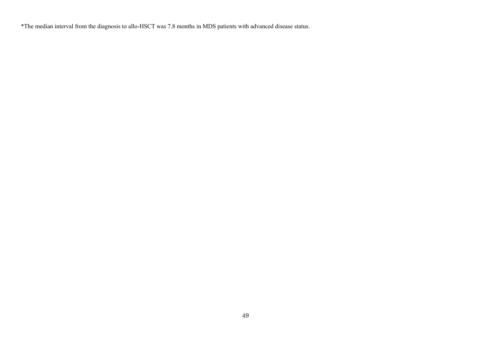\*The median interval from the diagnosis to allo-HSCT was 7.8 months in MDS patients with advanced disease status.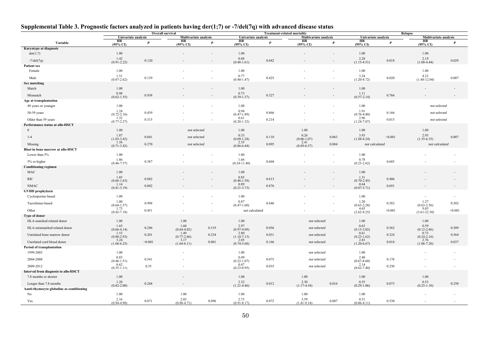# **Supplemental Table 3. Prognostic factors analyzed in patients having der(1;7) or -7/del(7q) with advanced disease status**

|                                             |                         | <b>Overall survival</b> |                              |                          | <b>Treatment-related mortality</b> |                  |                              | Relapse                  |                           |                  |                           |                  |
|---------------------------------------------|-------------------------|-------------------------|------------------------------|--------------------------|------------------------------------|------------------|------------------------------|--------------------------|---------------------------|------------------|---------------------------|------------------|
|                                             | Univariate analysis     |                         | <b>Multivariate analysis</b> |                          | Univariate analysis                |                  | <b>Multivariate analysis</b> |                          | Univariate analysis       |                  | Multivariate analysis     |                  |
| Variable                                    | HR<br>(95% CI)          | $\boldsymbol{P}$        | HR<br>(95% CI)               | $\boldsymbol{P}$         | HR<br>$(95\% \text{ CI})$          | $\boldsymbol{P}$ | HR<br>$(95\% \text{ CI})$    | $\boldsymbol{P}$         | HR<br>$(95\% \text{ CI})$ | $\boldsymbol{P}$ | HR<br>$(95\% \text{ CI})$ | $\boldsymbol{P}$ |
| Karyotype at diagnosis                      |                         |                         |                              |                          |                                    |                  |                              |                          |                           |                  |                           |                  |
| der(1;7)                                    | 1.00                    |                         |                              | $\sim$                   | 1.00                               |                  |                              | $\sim$                   | 1.00                      |                  | 1.00                      |                  |
| $-7$ /del $(7q)$                            | 1.42<br>$(0.91 - 2.22)$ | 0.120                   |                              |                          | 0.88<br>$(0.48 - 1.61)$            | 0.682            |                              |                          | $2.28$<br>(1.15-4.51)     | 0.018            | 2.19<br>$(1.08-4.44)$     | 0.029            |
| <b>Patient sex</b>                          |                         |                         |                              |                          |                                    |                  |                              |                          |                           |                  |                           |                  |
| Female                                      | 1.00                    |                         |                              |                          | 1.00                               |                  |                              |                          | 1.00                      |                  | 1.00                      |                  |
| Male                                        | 1.51<br>$(0.87 - 2.62)$ | 0.139                   |                              |                          | 0.77<br>$(0.40 - 1.47)$            | 0.425            |                              |                          | 3.24<br>$(1.20 - 8.72)$   | 0.020            | 4.23<br>$(1.48 - 12.04)$  | 0.007            |
| Sex matching                                |                         |                         |                              |                          |                                    |                  |                              |                          |                           |                  |                           |                  |
| Match                                       | 1.00                    |                         |                              |                          | 1.00                               |                  |                              | $\overline{\phantom{a}}$ | 1.00                      |                  |                           |                  |
| Mismatch                                    | 0.98<br>$(0.62 - 1.55)$ | 0.938                   |                              |                          | 0.73<br>$(0.39 - 1.37)$            | 0.327            |                              |                          | 1.11<br>$(0.57 - 2.14)$   | 0.766            |                           |                  |
| Age at transplantation                      |                         |                         |                              |                          |                                    |                  |                              |                          |                           |                  |                           |                  |
| 49 years or younger                         | 1.00                    |                         |                              |                          | 1.00                               |                  |                              |                          | 1.00                      |                  | not selected              |                  |
|                                             | 1.24                    | 0.439                   |                              |                          | 0.94                               |                  |                              |                          | 1.91                      |                  |                           |                  |
| 50-59 years                                 | $(0.72 - 2.16)$<br>1.32 |                         |                              |                          | $(0.47 - 1.89)$<br>0.61            | 0.866            |                              |                          | $(0.76 - 4.80)$<br>2.96   | 0.166            | not selected              |                  |
| Older than 59 years                         | $(0.77 - 2.27)$         | 0.315                   |                              |                          | $(0.28 - 1.32)$                    | 0.214            |                              |                          | $(1.24 - 7.07)$           | 0.015            | not selected              |                  |
| Performance status at allo-HSCT             |                         |                         |                              |                          |                                    |                  |                              |                          |                           |                  |                           |                  |
| $\mathbf{0}$                                | 1.00                    |                         | not selected                 |                          | 1.00                               |                  | 1.00                         |                          | 1.00                      |                  | 1.00                      |                  |
| $1 - 4$                                     | 1.87<br>$(1.03 - 3.42)$ | 0.041                   | not selected                 |                          | 0.33<br>$(0.09 - 1.28)$            | 0.110            | 0.26<br>$(0.06 - 1.07)$      | 0.063                    | 3.93<br>$(1.88 - 8.24)$   | < 0.001          | 2.93<br>$(1.35-6.35)$     | 0.007            |
| Missing                                     | 1.56<br>$(0.71 - 3.42)$ | 0.270                   | not selected                 |                          | 2.35                               | 0.095            | 2.41<br>$(0.89 - 6.57)$      | 0.084                    | not calculated            |                  | not calculated            |                  |
| <b>Blast in bone marrow at allo-HSCT</b>    |                         |                         |                              |                          | $(0.86 - 6.44)$                    |                  |                              |                          |                           |                  |                           |                  |
| Lower than 5%                               | 1.00                    |                         |                              |                          | 1.00                               |                  |                              | $\overline{a}$           | 1.00                      |                  |                           |                  |
| 5% or higher                                | 1.86                    | 0.387                   |                              |                          | 1.66                               | 0.604            |                              | $\overline{\phantom{a}}$ | 0.78                      | 0.685            |                           |                  |
| <b>Conditioning regimen</b>                 | $(0.46 - 7.57)$         |                         |                              |                          | $(0.24 - 11.40)$                   |                  |                              |                          | $(0.23 - 2.62)$           |                  |                           |                  |
| MAC                                         | 1.00                    |                         |                              |                          | 1.00                               |                  |                              | $\overline{\phantom{a}}$ | 1.00                      |                  |                           |                  |
|                                             | 1.03                    |                         |                              |                          | 0.85                               |                  |                              |                          | 1.31                      |                  |                           |                  |
| <b>RIC</b>                                  | $(0.66 - 1.63)$         | 0.882                   |                              |                          | $(0.46 - 1.58)$<br>0.89            | 0.613            |                              |                          | $(0.70 - 2.45)$<br>0.64   | 0.406            |                           |                  |
| <b>NMAC</b>                                 | 1.14<br>$(0.41 - 3.19)$ | 0.802                   |                              |                          | $(0.21 - 3.73)$                    | 0.876            |                              |                          | $(0.07 - 5.71)$           | 0.691            |                           |                  |
| <b>GVHD</b> prophylaxis                     |                         |                         |                              |                          |                                    |                  |                              |                          |                           |                  |                           |                  |
| Cyclosporine-based                          | 1.00                    |                         |                              | $\overline{\phantom{a}}$ | 1.00                               |                  |                              | $\overline{\phantom{a}}$ | 1.00                      |                  |                           |                  |
| Tacrolimus-based                            | 1.00<br>$(0.64 - 1.57)$ | 0.998                   |                              | $\overline{\phantom{a}}$ | 0.87<br>$(0.47 - 1.60)$            | 0.646            |                              |                          | 1.20<br>$(0.63 - 2.28)$   | 0.582            | 1.27<br>$(0.63 - 2.56)$   | 0.502            |
| Other                                       | 1.73<br>$(0.42 - 7.18)$ | 0.451                   |                              |                          | not calculated                     |                  |                              |                          | 4.65<br>$(2.62 - 8.25)$   | < 0.001          | 9.03<br>$(3.61 - 22.58)$  | < 0.001          |
| Type of donor                               |                         |                         |                              |                          |                                    |                  |                              |                          |                           |                  |                           |                  |
| HLA-matched related donor                   | 1.00                    |                         | 1.00                         |                          | 1.00                               |                  | not selected                 |                          | 1.00                      |                  | 1.00                      |                  |
| HLA-mismatched related donor                | 1.65<br>$(0.66 - 4.14)$ | 0.286                   | 1.60<br>$(0.64 - 4.02)$      | 0.319                    | 2.97<br>$(0.97 - 9.09)$            | 0.056            | not selected                 |                          | 0.63<br>$(0.13 - 3.02)$   | 0.562            | 0.59<br>$(0.12 - 2.86)$   | 0.509            |
| Unrelated bone marrow donor                 | 1.53                    | 0.201                   | 1.49                         | 0.234                    | 2.80                               | 0.031            | not selected                 |                          | 0.61                      | 0.324            | 0.73                      | 0.564            |
| Unrelated cord blood donor                  | $(0.80 - 2.93)$<br>3.24 | < 0.001                 | $(0.77 - 2.86)$<br>3.17      | 0.001                    | $(1.10 - 7.13)$<br>2.05            | 0.166            | not selected                 |                          | $(0.23 - 1.62)$<br>2.83   | 0.018            | $(0.24 - 2.16)$<br>2.76   | 0.037            |
| Period of transplantation                   | $(1.68 - 6.25)$         |                         | $(1.64 - 6.11)$              |                          | $(0.74 - 5.68)$                    |                  |                              |                          | $(1.20 - 6.67)$           |                  | $(1.06 - 7.20)$           |                  |
| 1999-2003                                   | 1.00                    |                         |                              |                          | 1.00                               |                  | not selected                 |                          | 1.00                      |                  |                           |                  |
|                                             | 0.83                    |                         |                              |                          | 0.49                               |                  |                              |                          | 2.40                      |                  |                           |                  |
| 2004-2008                                   | $(0.46 - 1.51)$<br>0.62 | 0.541                   |                              |                          | $(0.22 - 1.07)$<br>0.47            | 0.075            | not selected                 |                          | $(0.67 - 8.60)$<br>2.14   | 0.178            |                           |                  |
| 2009-2012                                   | $(0.35 - 1.11)$         | 0.35                    |                              |                          | $(0.23 - 0.95)$                    | 0.035            | not selected                 |                          | $(0.62 - 7.40)$           | 0.230            |                           |                  |
| <b>Interval from diagnosis to allo-HSCT</b> |                         |                         |                              |                          |                                    |                  |                              |                          |                           |                  |                           |                  |
| 7.8 months or shorter                       | 1.00                    |                         |                              |                          | 1.00                               |                  | $1.00\,$                     |                          | 1.00                      |                  | 1.00                      |                  |
| Longer than 7.8 months                      | 1.28<br>$(0.82 - 2.00)$ | 0.268                   |                              |                          | 2.32<br>$(1.21 - 4.46)$            | 0.012            | 2.30<br>$(1.17 - 4.54)$      | 0.016                    | 0.55<br>$(0.29 - 1.06)$   | 0.073            | 0.53<br>$(0.25 - 1.10)$   | 0.250            |
| Aanti-thymocyte globuline as conditioning   |                         |                         |                              |                          |                                    |                  |                              |                          |                           |                  |                           |                  |
| No                                          | 1.00                    |                         | 1.00                         |                          | 1.00                               |                  | 1.00                         |                          | 1.00                      |                  |                           |                  |
| Yes                                         | 2.16<br>$(0.94 - 4.98)$ | 0.071                   | 2.03<br>$(0.88 - 4.71)$      | 0.096                    | 2.73<br>$(0.91 - 8.17)$            | 0.072            | 3.59<br>$(1.41-9.14)$        | 0.007                    | 0.51<br>$(0.06-4.11)$     | 0.530            |                           |                  |
|                                             |                         |                         |                              |                          |                                    |                  |                              |                          |                           |                  |                           |                  |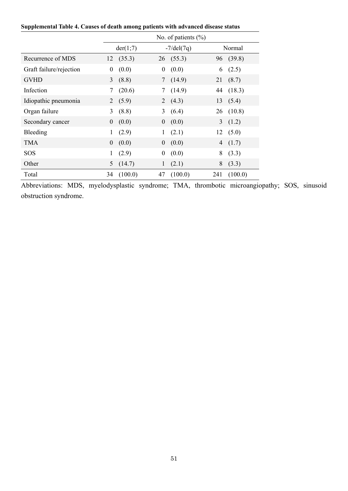| Supplemental Table 4. Causes of death among patients with advanced disease status |  |  |  |  |  |
|-----------------------------------------------------------------------------------|--|--|--|--|--|
|-----------------------------------------------------------------------------------|--|--|--|--|--|

|                         |                  | No. of patients $(\% )$ |                  |                     |                |         |  |  |
|-------------------------|------------------|-------------------------|------------------|---------------------|----------------|---------|--|--|
|                         |                  | der(1;7)                |                  | $-7/\text{del}(7q)$ |                | Normal  |  |  |
| Recurrence of MDS       | 12               | (35.3)                  | 26               | (55.3)              | 96             | (39.8)  |  |  |
| Graft failure/rejection | $\boldsymbol{0}$ | (0.0)                   | $\boldsymbol{0}$ | (0.0)               | 6              | (2.5)   |  |  |
| <b>GVHD</b>             | $\overline{3}$   | (8.8)                   |                  | (14.9)              | 21             | (8.7)   |  |  |
| Infection               | $\tau$           | (20.6)                  |                  | (14.9)              | 44             | (18.3)  |  |  |
| Idiopathic pneumonia    | 2                | (5.9)                   | 2                | (4.3)               | 13             | (5.4)   |  |  |
| Organ failure           | 3                | (8.8)                   | 3                | (6.4)               | 26             | (10.8)  |  |  |
| Secondary cancer        | $\theta$         | (0.0)                   | $\mathbf{0}$     | (0.0)               | $\mathfrak{Z}$ | (1.2)   |  |  |
| Bleeding                |                  | (2.9)                   | 1                | (2.1)               | 12             | (5.0)   |  |  |
| <b>TMA</b>              | $\theta$         | (0.0)                   | $\theta$         | (0.0)               | 4              | (1.7)   |  |  |
| SOS                     | 1                | (2.9)                   | 0                | (0.0)               | 8              | (3.3)   |  |  |
| Other                   | 5                | (14.7)                  | 1                | (2.1)               | 8              | (3.3)   |  |  |
| Total                   | 34               | (100.0)                 | 47               | (100.0)             | 241            | (100.0) |  |  |

Abbreviations: MDS, myelodysplastic syndrome; TMA, thrombotic microangiopathy; SOS, sinusoid obstruction syndrome.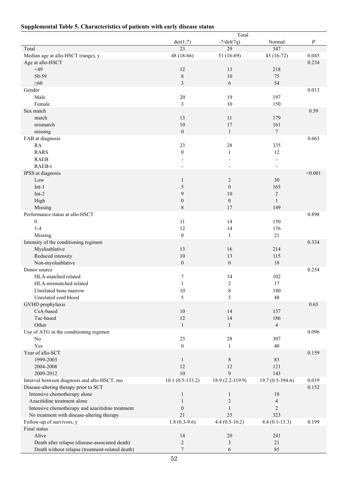| Supplemental Table 5. Characteristics of patients with early disease status |  |  |  |  |
|-----------------------------------------------------------------------------|--|--|--|--|
|-----------------------------------------------------------------------------|--|--|--|--|

|                                                  |                    | Total                   |                          |                  |
|--------------------------------------------------|--------------------|-------------------------|--------------------------|------------------|
|                                                  | der(1;7)           | $-7/del(7q)$            | Normal                   | $\boldsymbol{P}$ |
| Total                                            | 23                 | 29                      | 347                      |                  |
| Median age at allo-HSCT (range), y               | 48 (18-66)         | 51 (16-69)              | 43 (16-72)               | 0.045            |
| Age at allo-HSCT                                 |                    |                         |                          | 0.234            |
| $<$ 49                                           | 12                 | 13                      | 218                      |                  |
| 50-59                                            | $\,8\,$            | 10                      | 75                       |                  |
| $\geq 60$                                        | 3                  | 6                       | 54                       |                  |
| Gender                                           |                    |                         |                          | 0.013            |
| Male                                             | 20                 | 19                      | 197                      |                  |
| Female                                           | 3                  | 10                      | 150                      |                  |
| Sex match                                        |                    |                         |                          | 0.59             |
| match                                            | 13                 | 11                      | 179                      |                  |
| mismatch                                         | 10                 | 17                      | 161                      |                  |
| missing                                          | $\overline{0}$     | $\mathbf{1}$            | $\tau$                   |                  |
|                                                  |                    |                         |                          |                  |
| FAB at diagnosis                                 |                    |                         |                          | 0.663            |
| RA                                               | 23                 | 28                      | 335                      |                  |
| <b>RARS</b>                                      | $\overline{0}$     | $\mathbf{1}$            | 12                       |                  |
| <b>RAEB</b>                                      |                    |                         | $\overline{\phantom{a}}$ |                  |
| RAEB-t                                           |                    |                         |                          |                  |
| IPSS at diagnosis                                |                    |                         |                          | < 0.001          |
| Low                                              | $\mathbf{1}$       | 2                       | 30                       |                  |
| $Int-1$                                          | 5                  | $\boldsymbol{0}$        | 165                      |                  |
| $Int-2$                                          | 9                  | 10                      | $\sqrt{2}$               |                  |
| High                                             | $\boldsymbol{0}$   | $\boldsymbol{0}$        | $\mathbf{1}$             |                  |
| Missing                                          | 8                  | 17                      | 149                      |                  |
| Performance status at allo-HSCT                  |                    |                         |                          | 0.898            |
| $\boldsymbol{0}$                                 | 11                 | 14                      | 150                      |                  |
| $1-4$                                            | 12                 | 14                      | 176                      |                  |
| Missing                                          | $\boldsymbol{0}$   | $\mathbf{1}$            | 21                       |                  |
| Intensity of the conditioning regimen            |                    |                         |                          | 0.334            |
| Myeloablative                                    | 13                 | 16                      | 214                      |                  |
| Reduced intensity                                | 10                 | 13                      | 115                      |                  |
| Non-myeloablative                                | $\overline{0}$     | $\boldsymbol{0}$        | 18                       |                  |
| Donor source                                     |                    |                         |                          | 0.254            |
| HLA-matched related                              | 7                  | 14                      | 102                      |                  |
| HLA-mismatched related                           | $\mathbf{1}$       | $\overline{\mathbf{c}}$ | 17                       |                  |
| Unrelated bone marrow                            | 10                 | 8                       | 180                      |                  |
|                                                  |                    |                         |                          |                  |
| Unrelated cord blood                             | 5                  | 5                       | 48                       |                  |
| GVHD prophylaxis                                 |                    |                         |                          | 0.65             |
| CsA-based                                        | 10                 | 14                      | 157                      |                  |
| Tac-based                                        | 12                 | 14                      | 186                      |                  |
| Other                                            | $\mathbf{1}$       | $\mathbf{1}$            | $\overline{4}$           |                  |
| Use of ATG in the conditioning regimen           |                    |                         |                          | 0.096            |
| No                                               | 23                 | $28\,$                  | 307                      |                  |
| Yes                                              | $\mathbf{0}$       | $\mathbf{1}$            | 40                       |                  |
| Year of allo-SCT                                 |                    |                         |                          | 0.159            |
| 1999-2003                                        | $\mathbf{1}$       | 8                       | 83                       |                  |
| 2004-2008                                        | 12                 | 12                      | 121                      |                  |
| 2009-2012                                        | $10\,$             | 9                       | 143                      |                  |
| Interval between diagnosis and allo-HSCT, mo     | $10.1 (0.5-133.2)$ | 18.9 (2.2-119.9)        | $19.7(0.5-394.6)$        | 0.019            |
| Disease-altering therapy prior to SCT            |                    |                         |                          | 0.152            |
| Intensive chemotherapy alone                     | 1                  | $\mathbf{1}$            | 18                       |                  |
| Azacitidine treatment alone                      | 1                  | $\overline{c}$          | $\overline{\mathcal{A}}$ |                  |
| Intensive chemotherapy and azacitidine treatment | $\boldsymbol{0}$   | $\mathbf{1}$            | $\overline{c}$           |                  |
| No treatment with disease-altering therapy       | 21                 | 25                      | 323                      |                  |
|                                                  | $1.8(0.3-9.6)$     | $4.4(0.5-10.2)$         |                          | 0.199            |
| Follow-up of survivors, y                        |                    |                         | $4.4(0.1-13.3)$          |                  |
| Final status                                     |                    |                         |                          |                  |
| Alive                                            | 14                 | 20                      | 241                      |                  |
| Death after relapse (disease-associated death)   | $\overline{c}$     | 3                       | 21                       |                  |
| Death without relapse (treatment-related death)  | 7                  | 6                       | 85                       |                  |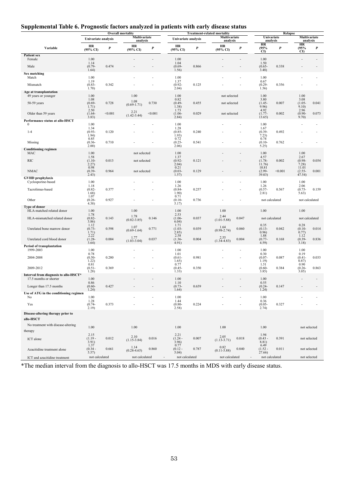# **Supplemental Table 6. Prognostic factors analyzed in patients with early disease status**

|                                                   | <b>Overall mortality</b>           |         |                           | <b>Treatment-related mortality</b>             |                                    |                |                          |                                            | Relapse                              |                        |                                    |                          |  |
|---------------------------------------------------|------------------------------------|---------|---------------------------|------------------------------------------------|------------------------------------|----------------|--------------------------|--------------------------------------------|--------------------------------------|------------------------|------------------------------------|--------------------------|--|
|                                                   | Univariate analysis                |         | Multivariate<br>analysis  |                                                | Univariate analysis                |                | Multivariate<br>analysis |                                            |                                      | Univariate<br>analysis |                                    | Multivariate<br>analysis |  |
| Variable                                          | HR<br>(95% CI)                     | P       | HR<br>$(95\% \text{ CI})$ | $\boldsymbol{P}$                               | HR<br>(95% CI)                     | P              | HR<br>(95% CI)           | P                                          | HR<br>(95%<br>CI)                    | P                      | HR<br>(95%<br>CI)                  | P                        |  |
| <b>Patient sex</b><br>Female                      | 1.00                               |         |                           |                                                | 1.00                               |                |                          |                                            | 1.00                                 |                        |                                    |                          |  |
| Male                                              | 1.14<br>$(0.79 -$<br>1.64)         | 0.474   |                           |                                                | 1.04<br>$(0.69 -$<br>1.56)         | 0.866          |                          |                                            | 1.50<br>$(0.65 -$<br>3.48)           | 0.338                  |                                    |                          |  |
| Sex matching<br>Match                             | 1.00                               |         |                           |                                                | 1.00                               |                |                          |                                            | 1.00                                 |                        |                                    |                          |  |
| Mismatch                                          | 1.19<br>$(0.83 -$<br>1.70)         | 0.342   |                           |                                                | 1.37<br>$(0.92 -$<br>2.04)         | 0.125          |                          |                                            | 0.67<br>$(0.29 -$<br>1.56)           | 0.356                  |                                    |                          |  |
| Age at transplantation<br>49 years or younger     | 1.00<br>1.08                       |         | 1.00                      |                                                | 1.00<br>0.82                       |                | not selected             |                                            | 1.00<br>3.80                         |                        | 1.00<br>3.08                       |                          |  |
| 50-59 years                                       | $(0.69 -$<br>1.71)<br>2.50         | 0.728   | 1.08<br>$(0.69 - 1.71)$   | 0.730                                          | $(0.49 -$<br>1.38)<br>1.73         | 0.455          | not selected             |                                            | $(1.45 -$<br>9.96)<br>4.92           | 0.007                  | $(1.05 -$<br>9.10)<br>2.96         | 0.041                    |  |
| Older than 59 years                               | $(1.64 -$<br>3.83)                 | < 0.001 | 2.21<br>$(1.42 - 3.44)$   | < 0.001                                        | $(1.06 -$<br>2.84)                 | 0.029          | not selected             |                                            | $(1.77-$<br>13.65)                   | 0.002                  | $(0.90 -$<br>9.70)                 | 0.073                    |  |
| Performance status at allo-HSCT<br>$\Omega$       | 1.00                               |         |                           |                                                | 1.00                               |                |                          |                                            | 1.00                                 |                        |                                    |                          |  |
| $1 - 4$                                           | 1.34<br>$(0.93 -$<br>1.94)<br>0.85 | 0.120   |                           |                                                | 1.28<br>$(0.85 -$<br>1.93)<br>0.72 | 0.240          |                          |                                            | 1.67<br>$(0.39 -$<br>7.23)<br>0.74   | 0.492                  |                                    |                          |  |
| Missing                                           | $(0.36 -$<br>2.00)                 | 0.710   |                           |                                                | $(0.25 -$<br>2.06)                 | 0.541          |                          |                                            | $(0.10 -$<br>5.25                    | 0.762                  |                                    |                          |  |
| <b>Conditioning regimen</b><br>MAC                | 1.00                               |         | not selected              |                                                | 1.00                               |                |                          |                                            | 1.00                                 |                        | 1.00                               |                          |  |
| <b>RIC</b>                                        | 1.58<br>$(1.10-$<br>2.27)<br>0.98  | 0.013   | not selected              |                                                | 1.37<br>$(0.92 -$<br>2.04)<br>0.21 | 0.121          |                          |                                            | 4.57<br>$(1.78 -$<br>11.76)<br>10.81 | 0.002                  | 2.67<br>$(0.98 -$<br>7.28<br>11.01 | 0.054                    |  |
| <b>NMAC</b>                                       | $(0.39 -$<br>2.43)                 | 0.964   | not selected              |                                                | $(0.03 -$<br>1.57)                 | 0.129          |                          |                                            | $(2.99 -$<br>39.03)                  | < 0.001                | $(2.55 -$<br>47.54)                | 0.001                    |  |
| <b>GVHD</b> prophylaxis<br>Cyclosporine-based     | 1.00<br>1.18                       |         |                           |                                                | 1.00<br>1.26                       |                |                          |                                            | 1.00<br>1.26                         |                        | 1.00<br>2.06                       |                          |  |
| Tacrolimus-based                                  | $(0.82 -$<br>1.68)<br>1.07         | 0.377   |                           |                                                | $(0.84 -$<br>1.90)<br>0.71         | 0.257          |                          |                                            | $(0.57 -$<br>2.81)                   | 0.567                  | $(0.75 -$<br>5.63)                 | 0.159                    |  |
| Other                                             | $(0.26 -$<br>4.38)                 | 0.927   |                           |                                                | $(0.10 -$<br>5.17)                 | 0.736          |                          |                                            | not calculated                       |                        | not calculated                     |                          |  |
| Type of donor<br>HLA-matched related donor        | 1.00                               |         | 1.00                      |                                                | 1.00                               |                | 1.00                     |                                            | 1.00                                 |                        | 1.00                               |                          |  |
| HLA-mismatched related donor                      | 1.78<br>$(0.82 -$<br>3.86          | 0.143   | 1.78<br>$(0.82 - 3.85)$   | 0.146                                          | 2.53<br>$(1.06 -$<br>6.04)         | 0.037          | 2.44<br>$(1.01 - 5.88)$  | 0.047                                      | not calculated                       |                        | not calculated                     |                          |  |
| Unrelated bone marrow donor                       | 1.12<br>$(0.73 -$<br>1.71)         | 0.598   | 1.07<br>$(0.69-1.64)$     | 0.771                                          | 1.71<br>$(1.03 -$<br>(2.85)        | 0.039          | 1.64<br>$(0.98 - 2.74)$  | 0.060                                      | 0.35<br>$(0.13 -$<br>0.96)           | 0.042                  | 0.28<br>$(0.10 -$<br>0.77)         | 0.014                    |  |
| Unrelated cord blood donor                        | 2.22<br>$(1.28 -$                  | 0.004   | 1.77<br>$(1.03 - 3.04)$   | 0.037                                          | 2.58<br>$(1.36 -$                  | 0.004          | 2.55<br>$(1.34 - 4.83)$  | 0.004                                      | 1.88<br>$(0.77 -$                    | 0.168                  | 1.12<br>$(0.39 -$                  | 0.836                    |  |
| Period of transplantation                         | 3.64)                              |         |                           |                                                | 4.91)                              |                |                          |                                            | 4.59)                                |                        | 3.18)                              |                          |  |
| 1999-2003<br>2004-2008                            | 1.00<br>0.78<br>$(0.50 -$<br>1.22) | 0.280   |                           |                                                | 1.00<br>1.01<br>$(0.61 -$<br>1.65) | 0.981          |                          |                                            | 1.00<br>0.30<br>$(0.07 -$<br>1.19)   | 0.087                  | 1.00<br>0.19<br>$(0.41 -$<br>0.87) | 0.033                    |  |
| 2009-2012                                         | 0.81<br>$(0.51 -$                  | 0.369   |                           |                                                | 0.77<br>$(0.45 -$                  | 0.350          |                          |                                            | 1.51<br>$(0.60 -$                    | 0.384                  | 0.90<br>$(0.26 -$                  | 0.863                    |  |
| Interval from diagnosis to allo-HSCT*             | 1.28)                              |         |                           |                                                | 1.33)                              |                |                          |                                            | 3.85)                                |                        | 3.05)                              |                          |  |
| 17.5 months or shorter<br>Longer than 17.5 months | 1.00<br>0.86<br>$(0.60 -$          | 0.427   |                           |                                                | 1.00<br>1.10<br>$(0.73 -$          | 0.659          |                          |                                            | 1.00<br>0.55<br>$(0.24 -$            | 0.147                  |                                    |                          |  |
| Use of ATG in the conditioning regimen<br>No      | 1.24)<br>1.00<br>1.28              |         |                           |                                                | 1.64)<br>1.00                      |                |                          |                                            | 1.24)<br>1.00                        |                        |                                    |                          |  |
| Yes                                               | $(0.74 -$<br>2.19)                 | 0.373   |                           |                                                | 1.44<br>$(0.80 -$<br>2.58)         | 0.224          |                          |                                            | 0.36<br>$(0.05 -$<br>2.74)           | 0.327                  |                                    |                          |  |
| Disease-altering therapy prior to                 |                                    |         |                           |                                                |                                    |                |                          |                                            |                                      |                        |                                    |                          |  |
| allo-HSCT                                         |                                    |         |                           |                                                |                                    |                |                          |                                            |                                      |                        |                                    |                          |  |
| No treatment with disease-altering<br>therapy     | 1.00                               |         | 1.00                      |                                                | 1.00                               |                | 1.00                     |                                            | 1.00                                 |                        | not selected                       |                          |  |
| ICT alone                                         | 2.15<br>$(1.19 -$<br>3.91)         | 0.012   | 2.10<br>$(1.15 - 3.84)$   | 0.016                                          | 2.21<br>$(1.24 -$<br>3.96)         | 0.007          | 2.05<br>$(1.13 - 3.71)$  | 0.018                                      | 1.94<br>$(0.43 -$<br>8.81)           | 0.391                  | not selected                       |                          |  |
| Azacitidine treatment alone                       | 1.37<br>$(0.34 -$<br>5.57)         | 0.661   | 1.14<br>$(0.28 - 4.65)$   | 0.860                                          | 0.77<br>$(0.12 -$<br>5.04)         | 0.787          | 0.82<br>$(0.11 - 5.88)$  | 0.840                                      | 6.49<br>$(1.52 -$<br>27.66)          | 0.011                  | not selected                       |                          |  |
| ICT and azacitidine treatment                     | not calculated                     |         |                           | not calculated<br>$\qquad \qquad \blacksquare$ |                                    | not calculated |                          | not calculated<br>$\overline{\phantom{a}}$ |                                      | not calculated         |                                    | not selected             |  |

\*The median interval from the diagnosis to allo-HSCT was 17.5 months in MDS with early disease status.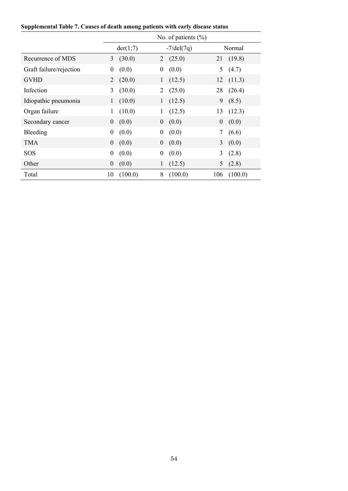|  |  |  | Supplemental Table 7. Causes of death among patients with early disease status |  |  |  |
|--|--|--|--------------------------------------------------------------------------------|--|--|--|
|  |  |  |                                                                                |  |  |  |

|                         |                  |          |                     | No. of patients $(\% )$ |                  |         |
|-------------------------|------------------|----------|---------------------|-------------------------|------------------|---------|
|                         |                  | der(1;7) | $-7/\text{del}(7q)$ |                         |                  | Normal  |
| Recurrence of MDS       | 3                | (30.0)   | 2                   | (25.0)                  | 21               | (19.8)  |
| Graft failure/rejection | $\boldsymbol{0}$ | (0.0)    | $\boldsymbol{0}$    | (0.0)                   | 5                | (4.7)   |
| <b>GVHD</b>             | 2                | (20.0)   | $\mathbf{1}$        | (12.5)                  | 12               | (11.3)  |
| Infection               | 3                | (30.0)   | 2                   | (25.0)                  | 28               | (26.4)  |
| Idiopathic pneumonia    | $\mathbf{1}$     | (10.0)   | 1                   | (12.5)                  | 9                | (8.5)   |
| Organ failure           | 1                | (10.0)   | 1                   | (12.5)                  | 13               | (12.3)  |
| Secondary cancer        | $\boldsymbol{0}$ | (0.0)    | $\boldsymbol{0}$    | (0.0)                   | $\boldsymbol{0}$ | (0.0)   |
| Bleeding                | 0                | (0.0)    | $\boldsymbol{0}$    | (0.0)                   |                  | (6.6)   |
| <b>TMA</b>              | $\overline{0}$   | (0.0)    | $\theta$            | (0.0)                   | 3                | (0.0)   |
| SOS                     | $\boldsymbol{0}$ | (0.0)    | $\boldsymbol{0}$    | (0.0)                   | $\overline{3}$   | (2.8)   |
| Other                   | $\boldsymbol{0}$ | (0.0)    | 1                   | (12.5)                  | 5                | (2.8)   |
| Total                   | 10               | (100.0)  | 8                   | (100.0)                 | 106              | (100.0) |